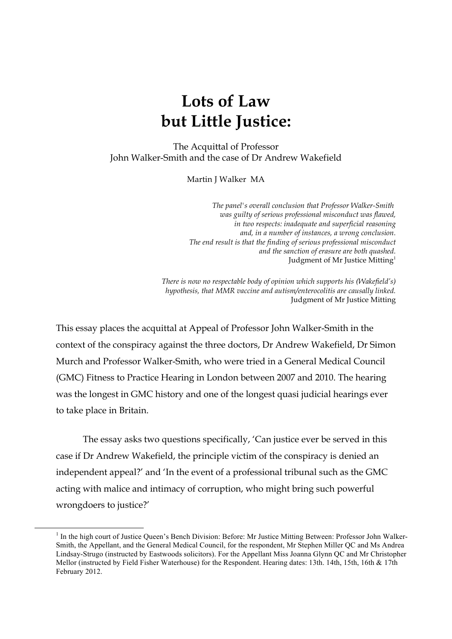The Acquittal of Professor John Walker-Smith and the case of Dr Andrew Wakefield

Martin J Walker MA

*The panel's overall conclusion that Professor Walker-Smith was guilty of serious professional misconduct was flawed, in two respects: inadequate and superficial reasoning and, in a number of instances, a wrong conclusion. The end result is that the finding of serious professional misconduct and the sanction of erasure are both quashed.* Judgment of Mr Justice Mitting<sup>1</sup>

*There is now no respectable body of opinion which supports his (Wakefield's) hypothesis, that MMR vaccine and autism/enterocolitis are causally linked.* Judgment of Mr Justice Mitting

This essay places the acquittal at Appeal of Professor John Walker-Smith in the context of the conspiracy against the three doctors, Dr Andrew Wakefield, Dr Simon Murch and Professor Walker-Smith, who were tried in a General Medical Council (GMC) Fitness to Practice Hearing in London between 2007 and 2010. The hearing was the longest in GMC history and one of the longest quasi judicial hearings ever to take place in Britain.

The essay asks two questions specifically, 'Can justice ever be served in this case if Dr Andrew Wakefield, the principle victim of the conspiracy is denied an independent appeal?' and 'In the event of a professional tribunal such as the GMC acting with malice and intimacy of corruption, who might bring such powerful wrongdoers to justice?'

<sup>&</sup>lt;sup>1</sup> In the high court of Justice Queen's Bench Division: Before: Mr Justice Mitting Between: Professor John Walker-Smith, the Appellant, and the General Medical Council, for the respondent, Mr Stephen Miller QC and Ms Andrea Lindsay-Strugo (instructed by Eastwoods solicitors). For the Appellant Miss Joanna Glynn QC and Mr Christopher Mellor (instructed by Field Fisher Waterhouse) for the Respondent. Hearing dates: 13th. 14th, 15th, 16th & 17th February 2012.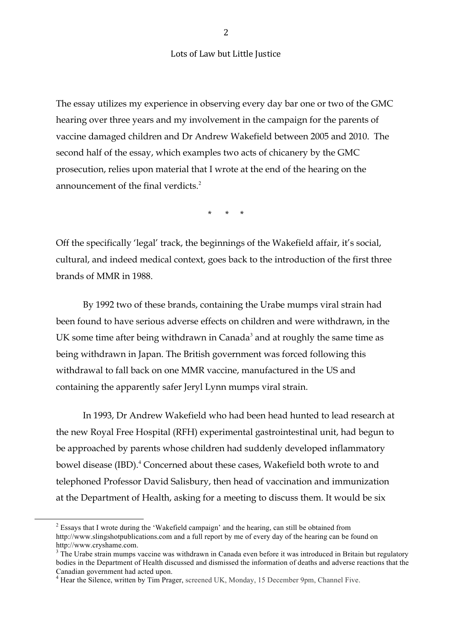The essay utilizes my experience in observing every day bar one or two of the GMC hearing over three years and my involvement in the campaign for the parents of vaccine damaged children and Dr Andrew Wakefield between 2005 and 2010. The second half of the essay, which examples two acts of chicanery by the GMC prosecution, relies upon material that I wrote at the end of the hearing on the announcement of the final verdicts.<sup>2</sup>

\* \* \*

Off the specifically 'legal' track, the beginnings of the Wakefield affair, it's social, cultural, and indeed medical context, goes back to the introduction of the first three brands of MMR in 1988.

By 1992 two of these brands, containing the Urabe mumps viral strain had been found to have serious adverse effects on children and were withdrawn, in the UK some time after being withdrawn in Canada<sup>3</sup> and at roughly the same time as being withdrawn in Japan. The British government was forced following this withdrawal to fall back on one MMR vaccine, manufactured in the US and containing the apparently safer Jeryl Lynn mumps viral strain.

In 1993, Dr Andrew Wakefield who had been head hunted to lead research at the new Royal Free Hospital (RFH) experimental gastrointestinal unit, had begun to be approached by parents whose children had suddenly developed inflammatory bowel disease (IBD).<sup>4</sup> Concerned about these cases, Wakefield both wrote to and telephoned Professor David Salisbury, then head of vaccination and immunization at the Department of Health, asking for a meeting to discuss them. It would be six

 $2$  Essays that I wrote during the 'Wakefield campaign' and the hearing, can still be obtained from http://www.slingshotpublications.com and a full report by me of every day of the hearing can be found on http://www.cryshame.com.<br><sup>3</sup> The Urabe strain mumps vaccine was withdrawn in Canada even before it was introduced in Britain but regulatory

bodies in the Department of Health discussed and dismissed the information of deaths and adverse reactions that the Canadian government had acted upon. 4 Hear the Silence, written by Tim Prager, screened UK, Monday, 15 December 9pm, Channel Five.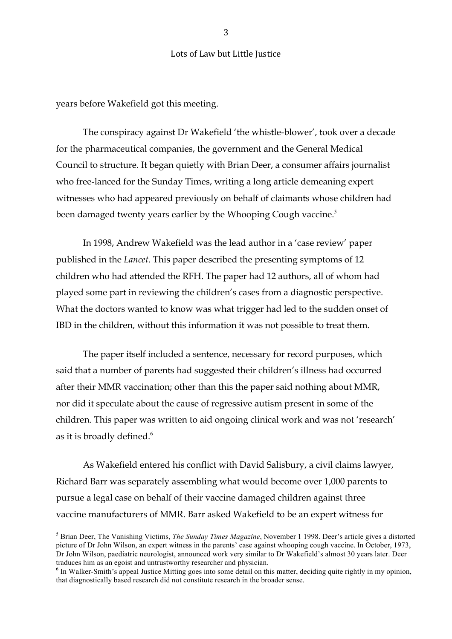years before Wakefield got this meeting.

The conspiracy against Dr Wakefield 'the whistle-blower', took over a decade for the pharmaceutical companies, the government and the General Medical Council to structure. It began quietly with Brian Deer, a consumer affairs journalist who free-lanced for the Sunday Times, writing a long article demeaning expert witnesses who had appeared previously on behalf of claimants whose children had been damaged twenty years earlier by the Whooping Cough vaccine.<sup>5</sup>

In 1998, Andrew Wakefield was the lead author in a 'case review' paper published in the *Lancet*. This paper described the presenting symptoms of 12 children who had attended the RFH. The paper had 12 authors, all of whom had played some part in reviewing the children's cases from a diagnostic perspective. What the doctors wanted to know was what trigger had led to the sudden onset of IBD in the children, without this information it was not possible to treat them.

The paper itself included a sentence, necessary for record purposes, which said that a number of parents had suggested their children's illness had occurred after their MMR vaccination; other than this the paper said nothing about MMR, nor did it speculate about the cause of regressive autism present in some of the children. This paper was written to aid ongoing clinical work and was not 'research' as it is broadly defined.<sup>6</sup>

As Wakefield entered his conflict with David Salisbury, a civil claims lawyer, Richard Barr was separately assembling what would become over 1,000 parents to pursue a legal case on behalf of their vaccine damaged children against three vaccine manufacturers of MMR. Barr asked Wakefield to be an expert witness for

3

<sup>&</sup>lt;sup>5</sup> Brian Deer, The Vanishing Victims, *The Sunday Times Magazine*, November 1 1998. Deer's article gives a distorted picture of Dr John Wilson, an expert witness in the parents' case against whooping cough vaccine. In October, 1973, Dr John Wilson, paediatric neurologist, announced work very similar to Dr Wakefield's almost 30 years later. Deer traduces him as an egoist and untrustworthy researcher and physician.<br><sup>6</sup> In Walker-Smith's appeal Justice Mitting goes into some detail on this matter, deciding quite rightly in my opinion,

that diagnostically based research did not constitute research in the broader sense.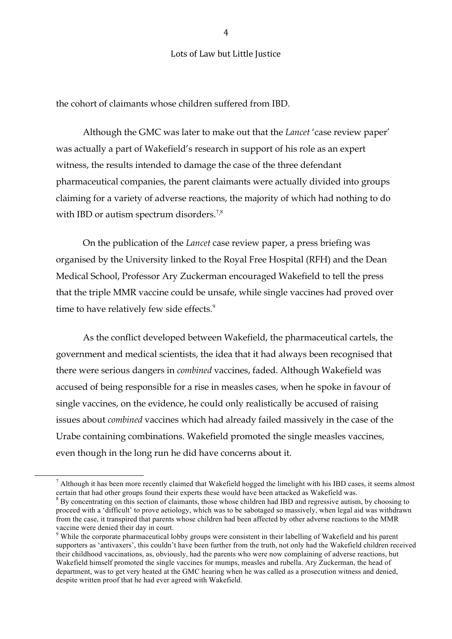the cohort of claimants whose children suffered from IBD.

Although the GMC was later to make out that the *Lancet* 'case review paper' was actually a part of Wakefield's research in support of his role as an expert witness, the results intended to damage the case of the three defendant pharmaceutical companies, the parent claimants were actually divided into groups claiming for a variety of adverse reactions, the majority of which had nothing to do with IBD or autism spectrum disorders.<sup>7,8</sup>

On the publication of the *Lancet* case review paper, a press briefing was organised by the University linked to the Royal Free Hospital (RFH) and the Dean Medical School, Professor Ary Zuckerman encouraged Wakefield to tell the press that the triple MMR vaccine could be unsafe, while single vaccines had proved over time to have relatively few side effects.<sup>9</sup>

As the conflict developed between Wakefield, the pharmaceutical cartels, the government and medical scientists, the idea that it had always been recognised that there were serious dangers in *combined* vaccines, faded. Although Wakefield was accused of being responsible for a rise in measles cases, when he spoke in favour of single vaccines, on the evidence, he could only realistically be accused of raising issues about *combined* vaccines which had already failed massively in the case of the Urabe containing combinations. Wakefield promoted the single measles vaccines, even though in the long run he did have concerns about it.

 $\overline{4}$ 

 $\frac{7}{1}$  Although it has been more recently claimed that Wakefield hogged the limelight with his IBD cases, it seems almost certain that had other groups found their experts these would have been attacked as Wakefield was.

<sup>&</sup>lt;sup>8</sup> By concentrating on this section of claimants, those whose children had IBD and regressive autism, by choosing to proceed with a 'difficult' to prove aetiology, which was to be sabotaged so massively, when legal aid was withdrawn from the case, it transpired that parents whose children had been affected by other adverse reactions to the MMR vaccine were denied their day in court.

<sup>&</sup>lt;sup>9</sup> While the corporate pharmaceutical lobby groups were consistent in their labelling of Wakefield and his parent supporters as 'antivaxers', this couldn't have been further from the truth, not only had the Wakefield children received their childhood vaccinations, as, obviously, had the parents who were now complaining of adverse reactions, but Wakefield himself promoted the single vaccines for mumps, measles and rubella. Ary Zuckerman, the head of department, was to get very heated at the GMC hearing when he was called as a prosecution witness and denied, despite written proof that he had ever agreed with Wakefield.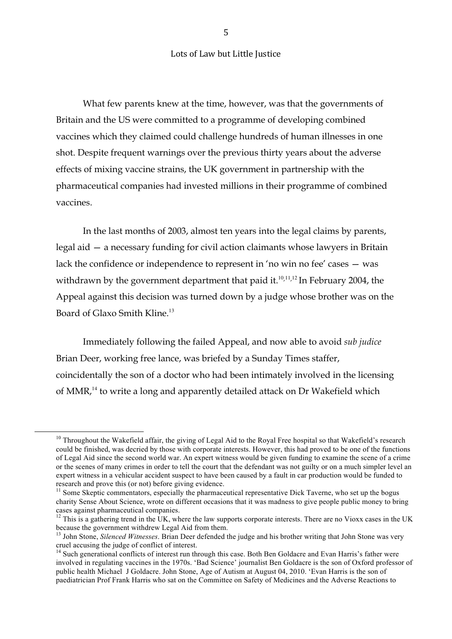What few parents knew at the time, however, was that the governments of Britain and the US were committed to a programme of developing combined vaccines which they claimed could challenge hundreds of human illnesses in one shot. Despite frequent warnings over the previous thirty years about the adverse effects of mixing vaccine strains, the UK government in partnership with the pharmaceutical companies had invested millions in their programme of combined vaccines.

In the last months of 2003, almost ten years into the legal claims by parents, legal aid — a necessary funding for civil action claimants whose lawyers in Britain lack the confidence or independence to represent in 'no win no fee' cases — was withdrawn by the government department that paid it.<sup>10,11,12</sup> In February 2004, the Appeal against this decision was turned down by a judge whose brother was on the Board of Glaxo Smith Kline.<sup>13</sup>

Immediately following the failed Appeal, and now able to avoid *sub judice*  Brian Deer, working free lance, was briefed by a Sunday Times staffer, coincidentally the son of a doctor who had been intimately involved in the licensing of MMR,<sup>14</sup> to write a long and apparently detailed attack on Dr Wakefield which

5

 $10$  Throughout the Wakefield affair, the giving of Legal Aid to the Royal Free hospital so that Wakefield's research could be finished, was decried by those with corporate interests. However, this had proved to be one of the functions of Legal Aid since the second world war. An expert witness would be given funding to examine the scene of a crime or the scenes of many crimes in order to tell the court that the defendant was not guilty or on a much simpler level an expert witness in a vehicular accident suspect to have been caused by a fault in car production would be funded to research and prove this (or not) before giving evidence.

<sup>&</sup>lt;sup>11</sup> Some Skeptic commentators, especially the pharmaceutical representative Dick Taverne, who set up the bogus charity Sense About Science, wrote on different occasions that it was madness to give people public money to bring cases against pharmaceutical companies.

 $12$  This is a gathering trend in the UK, where the law supports corporate interests. There are no Vioxx cases in the UK because the government withdrew Legal Aid from them.

<sup>&</sup>lt;sup>13</sup> John Stone, *Silenced Witnesses*. Brian Deer defended the judge and his brother writing that John Stone was very cruel accusing the judge of conflict of interest.

<sup>&</sup>lt;sup>14</sup> Such generational conflicts of interest run through this case. Both Ben Goldacre and Evan Harris's father were involved in regulating vaccines in the 1970s. 'Bad Science' journalist Ben Goldacre is the son of Oxford professor of public health Michael J Goldacre. John Stone, Age of Autism at August 04, 2010. 'Evan Harris is the son of paediatrician Prof Frank Harris who sat on the Committee on Safety of Medicines and the Adverse Reactions to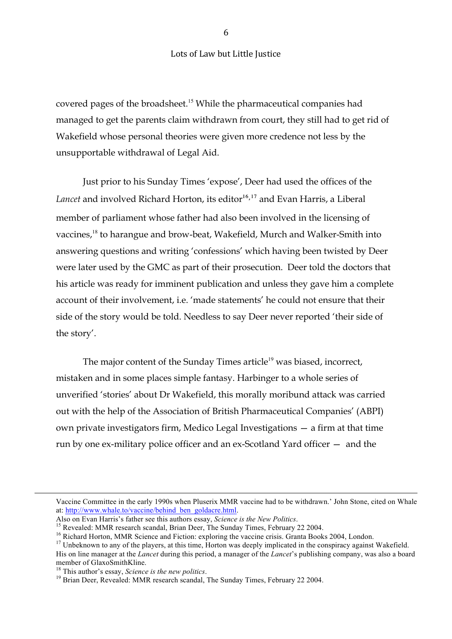covered pages of the broadsheet.<sup>15</sup> While the pharmaceutical companies had managed to get the parents claim withdrawn from court, they still had to get rid of Wakefield whose personal theories were given more credence not less by the unsupportable withdrawal of Legal Aid.

Just prior to his Sunday Times 'expose', Deer had used the offices of the Lancet and involved Richard Horton, its editor<sup>16,17</sup> and Evan Harris, a Liberal member of parliament whose father had also been involved in the licensing of vaccines,<sup>18</sup> to harangue and brow-beat, Wakefield, Murch and Walker-Smith into answering questions and writing 'confessions' which having been twisted by Deer were later used by the GMC as part of their prosecution. Deer told the doctors that his article was ready for imminent publication and unless they gave him a complete account of their involvement, i.e. 'made statements' he could not ensure that their side of the story would be told. Needless to say Deer never reported 'their side of the story'.

The major content of the Sunday Times article<sup>19</sup> was biased, incorrect, mistaken and in some places simple fantasy. Harbinger to a whole series of unverified 'stories' about Dr Wakefield, this morally moribund attack was carried out with the help of the Association of British Pharmaceutical Companies' (ABPI) own private investigators firm, Medico Legal Investigations — a firm at that time run by one ex-military police officer and an ex-Scotland Yard officer — and the

!!!!!!!!!!!!!!!!!!!!!!!!!!!!!!!!!!!!!!!!!!!!!!!!!!!!!!!!!!!!!!!!!!!!!!!!!!!!!!!!!!!!!!!!!!!!!!!!!!!!!!!!!!!!!!!!!!!!!!!!!!!!!!!!!!!!!!!!!!!!!!!!!!!!!!!!!!!!!!!!!!!!!!!!!!!!!!!!!!!!!!!!!!!!!!!

Vaccine Committee in the early 1990s when Pluserix MMR vaccine had to be withdrawn.' John Stone, cited on Whale at: http://www.whale.to/vaccine/behind\_ben\_goldacre.html.<br>Also on Evan Harris's father see this authors essay, *Science is the New Politics*.

<sup>&</sup>lt;sup>15</sup> Revealed: MMR research scandal, Brian Deer, The Sunday Times, February 22 2004.<br><sup>16</sup> Richard Horton, MMR Science and Fiction: exploring the vaccine crisis. Granta Books 2004, London.<br><sup>17</sup> Unbeknown to any of the play His on line manager at the *Lancet* during this period, a manager of the *Lancet*'s publishing company, was also a board member of GlaxoSmithKline.

<sup>&</sup>lt;sup>18</sup> This author's essay, *Science is the new politics*.<br><sup>19</sup> Brian Deer, Revealed: MMR research scandal, The Sunday Times, February 22 2004.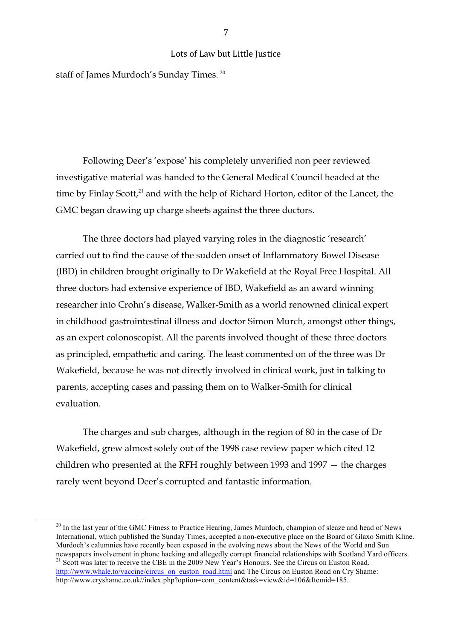staff of James Murdoch's Sunday Times.<sup>20</sup>

Following Deer's 'expose' his completely unverified non peer reviewed investigative material was handed to the General Medical Council headed at the time by Finlay Scott, $21$  and with the help of Richard Horton, editor of the Lancet, the GMC began drawing up charge sheets against the three doctors.

The three doctors had played varying roles in the diagnostic 'research' carried out to find the cause of the sudden onset of Inflammatory Bowel Disease (IBD) in children brought originally to Dr Wakefield at the Royal Free Hospital. All three doctors had extensive experience of IBD, Wakefield as an award winning researcher into Crohn's disease, Walker-Smith as a world renowned clinical expert in childhood gastrointestinal illness and doctor Simon Murch, amongst other things, as an expert colonoscopist. All the parents involved thought of these three doctors as principled, empathetic and caring. The least commented on of the three was Dr Wakefield, because he was not directly involved in clinical work, just in talking to parents, accepting cases and passing them on to Walker-Smith for clinical evaluation.

The charges and sub charges, although in the region of 80 in the case of Dr Wakefield, grew almost solely out of the 1998 case review paper which cited 12 children who presented at the RFH roughly between 1993 and 1997 — the charges rarely went beyond Deer's corrupted and fantastic information.

<sup>&</sup>lt;sup>20</sup> In the last year of the GMC Fitness to Practice Hearing, James Murdoch, champion of sleaze and head of News International, which published the Sunday Times, accepted a non-executive place on the Board of Glaxo Smith Kline. Murdoch's calumnies have recently been exposed in the evolving news about the News of the World and Sun newspapers involvement in phone hacking and allegedly corrupt financial relationships with Scotland Yard officers. <sup>21</sup> Scott was later to receive the CBE in the 2009 New Year's Honours. See the Circus on Euston Road.

http://www.whale.to/vaccine/circus\_on\_euston\_road.html and The Circus on Euston Road on Cry Shame: http://www.cryshame.co.uk//index.php?option=com\_content&task=view&id=106&Itemid=185.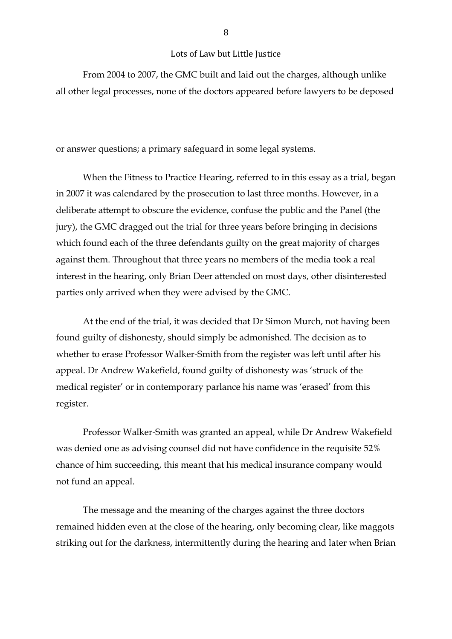From 2004 to 2007, the GMC built and laid out the charges, although unlike all other legal processes, none of the doctors appeared before lawyers to be deposed

or answer questions; a primary safeguard in some legal systems.

When the Fitness to Practice Hearing, referred to in this essay as a trial, began in 2007 it was calendared by the prosecution to last three months. However, in a deliberate attempt to obscure the evidence, confuse the public and the Panel (the jury), the GMC dragged out the trial for three years before bringing in decisions which found each of the three defendants guilty on the great majority of charges against them. Throughout that three years no members of the media took a real interest in the hearing, only Brian Deer attended on most days, other disinterested parties only arrived when they were advised by the GMC.

At the end of the trial, it was decided that Dr Simon Murch, not having been found guilty of dishonesty, should simply be admonished. The decision as to whether to erase Professor Walker-Smith from the register was left until after his appeal. Dr Andrew Wakefield, found guilty of dishonesty was 'struck of the medical register' or in contemporary parlance his name was 'erased' from this register.

Professor Walker-Smith was granted an appeal, while Dr Andrew Wakefield was denied one as advising counsel did not have confidence in the requisite 52% chance of him succeeding, this meant that his medical insurance company would not fund an appeal.

The message and the meaning of the charges against the three doctors remained hidden even at the close of the hearing, only becoming clear, like maggots striking out for the darkness, intermittently during the hearing and later when Brian

6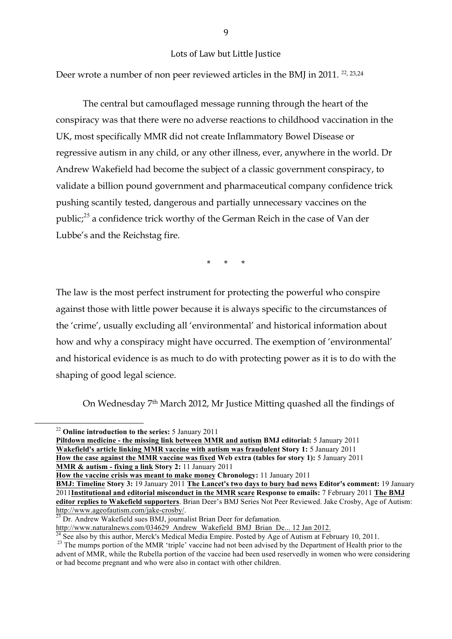Deer wrote a number of non peer reviewed articles in the BMJ in 2011.<sup>22, 23,24</sup>

The central but camouflaged message running through the heart of the conspiracy was that there were no adverse reactions to childhood vaccination in the UK, most specifically MMR did not create Inflammatory Bowel Disease or regressive autism in any child, or any other illness, ever, anywhere in the world. Dr Andrew Wakefield had become the subject of a classic government conspiracy, to validate a billion pound government and pharmaceutical company confidence trick pushing scantily tested, dangerous and partially unnecessary vaccines on the public;<sup>25</sup> a confidence trick worthy of the German Reich in the case of Van der Lubbe's and the Reichstag fire.

\* \* \*

The law is the most perfect instrument for protecting the powerful who conspire against those with little power because it is always specific to the circumstances of the 'crime', usually excluding all 'environmental' and historical information about how and why a conspiracy might have occurred. The exemption of 'environmental' and historical evidence is as much to do with protecting power as it is to do with the shaping of good legal science.

On Wednesday 7th March 2012, Mr Justice Mitting quashed all the findings of

**Piltdown medicine - the missing link between MMR and autism BMJ editorial:** 5 January 2011 **Wakefield's article linking MMR vaccine with autism was fraudulent Story 1:** 5 January 2011 **How the case against the MMR vaccine was fixed Web extra (tables for story 1):** 5 January 2011 **MMR & autism - fixing a link Story 2:** 11 January 2011

**How the vaccine crisis was meant to make money Chronology:** 11 January 2011

<sup>&</sup>lt;sup>22</sup> Online introduction to the series: 5 January 2011

**BMJ: Timeline Story 3:** 19 January 2011 **The Lancet's two days to bury bad news Editor's comment:** 19 January 2011**Institutional and editorial misconduct in the MMR scare Response to emails:** 7 February 2011 **The BMJ editor replies to Wakefield supporters**. Brian Deer's BMJ Series Not Peer Reviewed. Jake Crosby, Age of Autism: http://www.ageofautism.com/jake-crosby/.<br><sup>23</sup> Dr. Andrew Wakefield sues BMJ, journalist Brian Deer for defamation.<br>http://www.naturalnews.com/034629 Andrew Wakefield BMJ Brian De... 12 Jan 2012.

 $\frac{1}{24}$  See also by this author, Merck's Medical Media Empire. Posted by Age of Autism at February 10, 2011.<br><sup>23</sup> The mumps portion of the MMR 'triple' vaccine had not been advised by the Department of Health prior to advent of MMR, while the Rubella portion of the vaccine had been used reservedly in women who were considering or had become pregnant and who were also in contact with other children.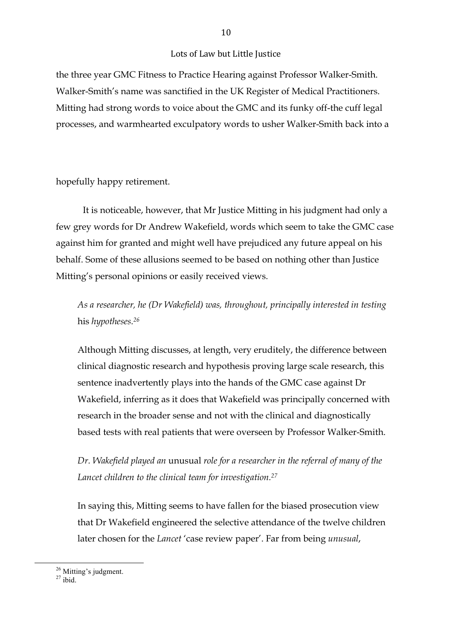the three year GMC Fitness to Practice Hearing against Professor Walker-Smith. Walker-Smith's name was sanctified in the UK Register of Medical Practitioners. Mitting had strong words to voice about the GMC and its funky off-the cuff legal processes, and warmhearted exculpatory words to usher Walker-Smith back into a

## hopefully happy retirement.

It is noticeable, however, that Mr Justice Mitting in his judgment had only a few grey words for Dr Andrew Wakefield, words which seem to take the GMC case against him for granted and might well have prejudiced any future appeal on his behalf. Some of these allusions seemed to be based on nothing other than Justice Mitting's personal opinions or easily received views.

*As a researcher, he (Dr Wakefield) was, throughout, principally interested in testing*  his *hypotheses.26*

Although Mitting discusses, at length, very eruditely, the difference between clinical diagnostic research and hypothesis proving large scale research, this sentence inadvertently plays into the hands of the GMC case against Dr Wakefield, inferring as it does that Wakefield was principally concerned with research in the broader sense and not with the clinical and diagnostically based tests with real patients that were overseen by Professor Walker-Smith.

*Dr. Wakefield played an* unusual *role for a researcher in the referral of many of the Lancet children to the clinical team for investigation.27*

In saying this, Mitting seems to have fallen for the biased prosecution view that Dr Wakefield engineered the selective attendance of the twelve children later chosen for the *Lancet* 'case review paper'. Far from being *unusual*,

 $126$  Mitting's judgment.<br> $27$  ibid.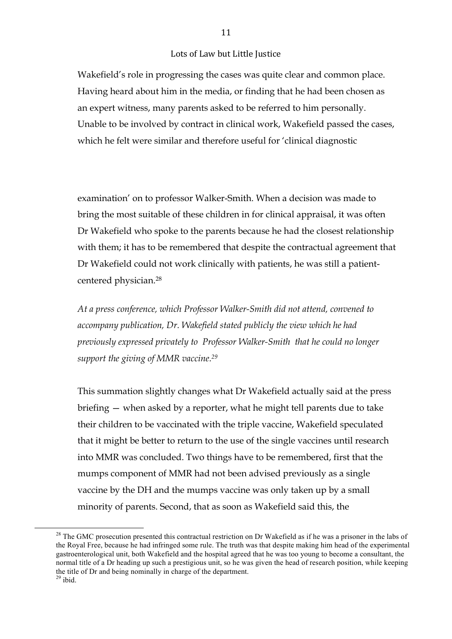Wakefield's role in progressing the cases was quite clear and common place. Having heard about him in the media, or finding that he had been chosen as an expert witness, many parents asked to be referred to him personally. Unable to be involved by contract in clinical work, Wakefield passed the cases, which he felt were similar and therefore useful for 'clinical diagnostic

examination' on to professor Walker-Smith. When a decision was made to bring the most suitable of these children in for clinical appraisal, it was often Dr Wakefield who spoke to the parents because he had the closest relationship with them; it has to be remembered that despite the contractual agreement that Dr Wakefield could not work clinically with patients, he was still a patientcentered physician.28

*At a press conference, which Professor Walker-Smith did not attend, convened to accompany publication, Dr. Wakefield stated publicly the view which he had previously expressed privately to Professor Walker-Smith that he could no longer support the giving of MMR vaccine.29*

This summation slightly changes what Dr Wakefield actually said at the press briefing — when asked by a reporter, what he might tell parents due to take their children to be vaccinated with the triple vaccine, Wakefield speculated that it might be better to return to the use of the single vaccines until research into MMR was concluded. Two things have to be remembered, first that the mumps component of MMR had not been advised previously as a single vaccine by the DH and the mumps vaccine was only taken up by a small minority of parents. Second, that as soon as Wakefield said this, the

 $28$  The GMC prosecution presented this contractual restriction on Dr Wakefield as if he was a prisoner in the labs of the Royal Free, because he had infringed some rule. The truth was that despite making him head of the experimental gastroenterological unit, both Wakefield and the hospital agreed that he was too young to become a consultant, the normal title of a Dr heading up such a prestigious unit, so he was given the head of research position, while keeping the title of Dr and being nominally in charge of the department.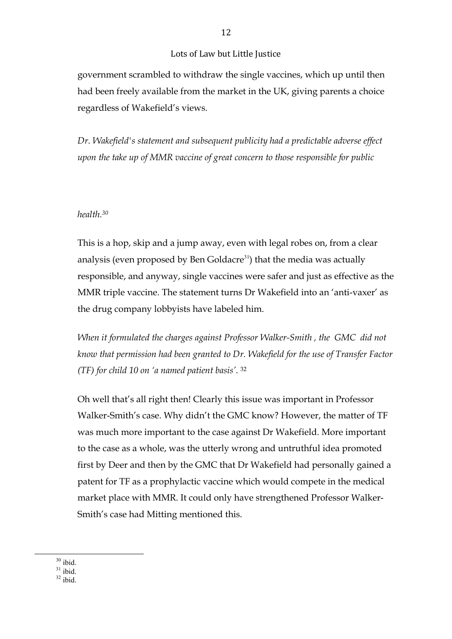government scrambled to withdraw the single vaccines, which up until then had been freely available from the market in the UK, giving parents a choice regardless of Wakefield's views.

*Dr. Wakefield's statement and subsequent publicity had a predictable adverse effect upon the take up of MMR vaccine of great concern to those responsible for public* 

## *health.30*

This is a hop, skip and a jump away, even with legal robes on, from a clear analysis (even proposed by Ben Goldacre $31$ ) that the media was actually responsible, and anyway, single vaccines were safer and just as effective as the MMR triple vaccine. The statement turns Dr Wakefield into an 'anti-vaxer' as the drug company lobbyists have labeled him.

*When it formulated the charges against Professor Walker-Smith , the GMC did not know that permission had been granted to Dr. Wakefield for the use of Transfer Factor (TF) for child 10 on 'a named patient basis'*. 32

Oh well that's all right then! Clearly this issue was important in Professor Walker-Smith's case. Why didn't the GMC know? However, the matter of TF was much more important to the case against Dr Wakefield. More important to the case as a whole, was the utterly wrong and untruthful idea promoted first by Deer and then by the GMC that Dr Wakefield had personally gained a patent for TF as a prophylactic vaccine which would compete in the medical market place with MMR. It could only have strengthened Professor Walker-Smith's case had Mitting mentioned this.

 $\frac{30}{31}$ ibid.  $\frac{31}{32}$ ibid.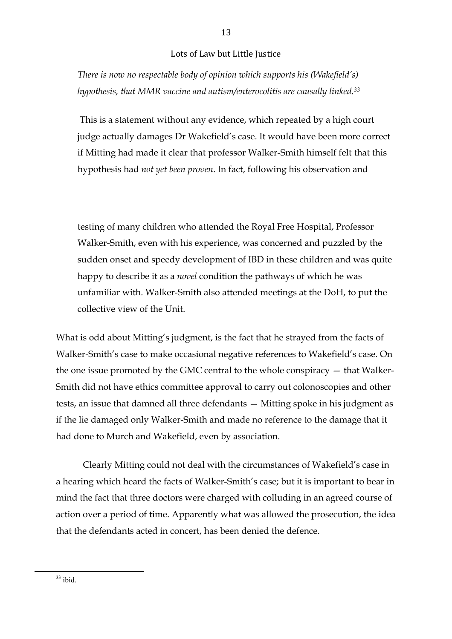*There is now no respectable body of opinion which supports his (Wakefield's) hypothesis, that MMR vaccine and autism/enterocolitis are causally linked.33*

This is a statement without any evidence, which repeated by a high court judge actually damages Dr Wakefield's case. It would have been more correct if Mitting had made it clear that professor Walker-Smith himself felt that this hypothesis had *not yet been proven*. In fact, following his observation and

testing of many children who attended the Royal Free Hospital, Professor Walker-Smith, even with his experience, was concerned and puzzled by the sudden onset and speedy development of IBD in these children and was quite happy to describe it as a *novel* condition the pathways of which he was unfamiliar with. Walker-Smith also attended meetings at the DoH, to put the collective view of the Unit.

What is odd about Mitting's judgment, is the fact that he strayed from the facts of Walker-Smith's case to make occasional negative references to Wakefield's case. On the one issue promoted by the GMC central to the whole conspiracy — that Walker-Smith did not have ethics committee approval to carry out colonoscopies and other tests, an issue that damned all three defendants — Mitting spoke in his judgment as if the lie damaged only Walker-Smith and made no reference to the damage that it had done to Murch and Wakefield, even by association.

Clearly Mitting could not deal with the circumstances of Wakefield's case in a hearing which heard the facts of Walker-Smith's case; but it is important to bear in mind the fact that three doctors were charged with colluding in an agreed course of action over a period of time. Apparently what was allowed the prosecution, the idea that the defendants acted in concert, has been denied the defence.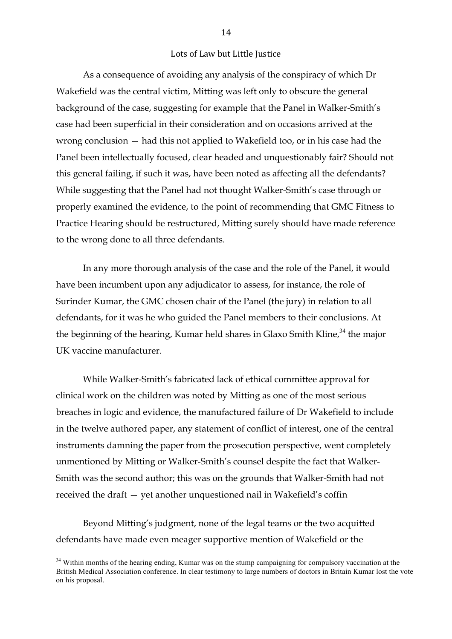As a consequence of avoiding any analysis of the conspiracy of which Dr Wakefield was the central victim, Mitting was left only to obscure the general background of the case, suggesting for example that the Panel in Walker-Smith's case had been superficial in their consideration and on occasions arrived at the wrong conclusion — had this not applied to Wakefield too, or in his case had the Panel been intellectually focused, clear headed and unquestionably fair? Should not this general failing, if such it was, have been noted as affecting all the defendants? While suggesting that the Panel had not thought Walker-Smith's case through or properly examined the evidence, to the point of recommending that GMC Fitness to Practice Hearing should be restructured, Mitting surely should have made reference to the wrong done to all three defendants.

In any more thorough analysis of the case and the role of the Panel, it would have been incumbent upon any adjudicator to assess, for instance, the role of Surinder Kumar, the GMC chosen chair of the Panel (the jury) in relation to all defendants, for it was he who guided the Panel members to their conclusions. At the beginning of the hearing, Kumar held shares in Glaxo Smith Kline,<sup>34</sup> the major UK vaccine manufacturer.

While Walker-Smith's fabricated lack of ethical committee approval for clinical work on the children was noted by Mitting as one of the most serious breaches in logic and evidence, the manufactured failure of Dr Wakefield to include in the twelve authored paper, any statement of conflict of interest, one of the central instruments damning the paper from the prosecution perspective, went completely unmentioned by Mitting or Walker-Smith's counsel despite the fact that Walker-Smith was the second author; this was on the grounds that Walker-Smith had not received the draft — yet another unquestioned nail in Wakefield's coffin

Beyond Mitting's judgment, none of the legal teams or the two acquitted defendants have made even meager supportive mention of Wakefield or the

 $34$  Within months of the hearing ending. Kumar was on the stump campaigning for compulsory vaccination at the British Medical Association conference. In clear testimony to large numbers of doctors in Britain Kumar lost the vote on his proposal.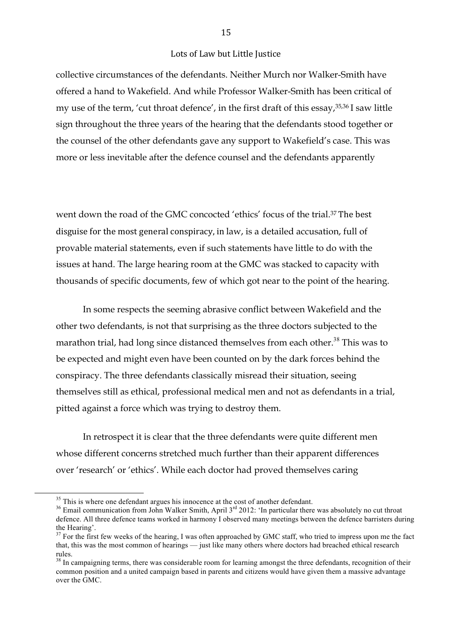collective circumstances of the defendants. Neither Murch nor Walker-Smith have offered a hand to Wakefield. And while Professor Walker-Smith has been critical of my use of the term, 'cut throat defence', in the first draft of this essay,35,36 I saw little sign throughout the three years of the hearing that the defendants stood together or the counsel of the other defendants gave any support to Wakefield's case. This was more or less inevitable after the defence counsel and the defendants apparently

went down the road of the GMC concocted 'ethics' focus of the trial.<sup>37</sup> The best disguise for the most general conspiracy, in law, is a detailed accusation, full of provable material statements, even if such statements have little to do with the issues at hand. The large hearing room at the GMC was stacked to capacity with thousands of specific documents, few of which got near to the point of the hearing.

In some respects the seeming abrasive conflict between Wakefield and the other two defendants, is not that surprising as the three doctors subjected to the marathon trial, had long since distanced themselves from each other.<sup>38</sup> This was to be expected and might even have been counted on by the dark forces behind the conspiracy. The three defendants classically misread their situation, seeing themselves still as ethical, professional medical men and not as defendants in a trial, pitted against a force which was trying to destroy them.

In retrospect it is clear that the three defendants were quite different men whose different concerns stretched much further than their apparent differences over 'research' or 'ethics'. While each doctor had proved themselves caring

<sup>&</sup>lt;sup>35</sup> This is where one defendant argues his innocence at the cost of another defendant.<br><sup>36</sup> Email communication from John Walker Smith, April  $3<sup>rd</sup>$  2012: 'In particular there was absolutely no cut throat defence. All three defence teams worked in harmony I observed many meetings between the defence barristers during the Hearing'.

<sup>&</sup>lt;sup>37</sup> For the first few weeks of the hearing, I was often approached by GMC staff, who tried to impress upon me the fact that, this was the most common of hearings — just like many others where doctors had breached ethical research rules.

<sup>&</sup>lt;sup>38</sup> In campaigning terms, there was considerable room for learning amongst the three defendants, recognition of their common position and a united campaign based in parents and citizens would have given them a massive advantage over the GMC.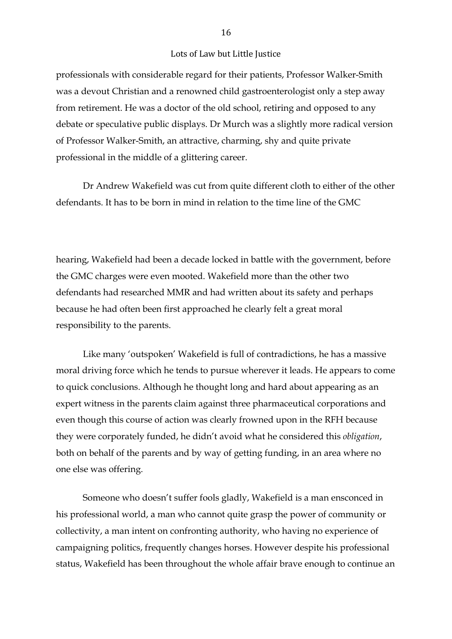professionals with considerable regard for their patients, Professor Walker-Smith was a devout Christian and a renowned child gastroenterologist only a step away from retirement. He was a doctor of the old school, retiring and opposed to any debate or speculative public displays. Dr Murch was a slightly more radical version of Professor Walker-Smith, an attractive, charming, shy and quite private professional in the middle of a glittering career.

Dr Andrew Wakefield was cut from quite different cloth to either of the other defendants. It has to be born in mind in relation to the time line of the GMC

hearing, Wakefield had been a decade locked in battle with the government, before the GMC charges were even mooted. Wakefield more than the other two defendants had researched MMR and had written about its safety and perhaps because he had often been first approached he clearly felt a great moral responsibility to the parents.

Like many 'outspoken' Wakefield is full of contradictions, he has a massive moral driving force which he tends to pursue wherever it leads. He appears to come to quick conclusions. Although he thought long and hard about appearing as an expert witness in the parents claim against three pharmaceutical corporations and even though this course of action was clearly frowned upon in the RFH because they were corporately funded, he didn't avoid what he considered this *obligation*, both on behalf of the parents and by way of getting funding, in an area where no one else was offering.

Someone who doesn't suffer fools gladly, Wakefield is a man ensconced in his professional world, a man who cannot quite grasp the power of community or collectivity, a man intent on confronting authority, who having no experience of campaigning politics, frequently changes horses. However despite his professional status, Wakefield has been throughout the whole affair brave enough to continue an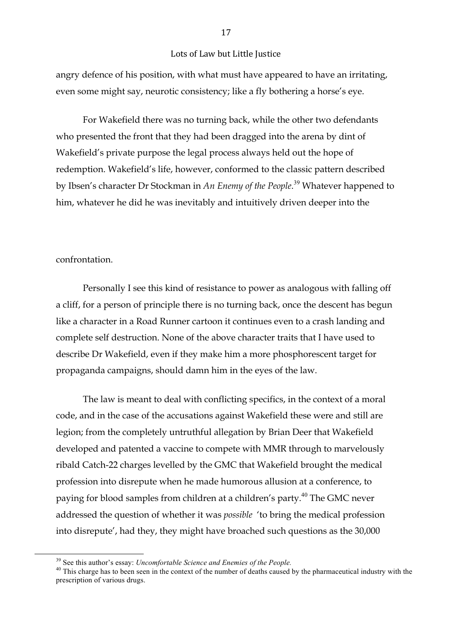angry defence of his position, with what must have appeared to have an irritating, even some might say, neurotic consistency; like a fly bothering a horse's eye.

For Wakefield there was no turning back, while the other two defendants who presented the front that they had been dragged into the arena by dint of Wakefield's private purpose the legal process always held out the hope of redemption. Wakefield's life, however, conformed to the classic pattern described by Ibsen's character Dr Stockman in *An Enemy of the People*. <sup>39</sup> Whatever happened to him, whatever he did he was inevitably and intuitively driven deeper into the

#### confrontation.

Personally I see this kind of resistance to power as analogous with falling off a cliff, for a person of principle there is no turning back, once the descent has begun like a character in a Road Runner cartoon it continues even to a crash landing and complete self destruction. None of the above character traits that I have used to describe Dr Wakefield, even if they make him a more phosphorescent target for propaganda campaigns, should damn him in the eyes of the law.

The law is meant to deal with conflicting specifics, in the context of a moral code, and in the case of the accusations against Wakefield these were and still are legion; from the completely untruthful allegation by Brian Deer that Wakefield developed and patented a vaccine to compete with MMR through to marvelously ribald Catch-22 charges levelled by the GMC that Wakefield brought the medical profession into disrepute when he made humorous allusion at a conference, to paying for blood samples from children at a children's party.<sup>40</sup> The GMC never addressed the question of whether it was *possible* 'to bring the medical profession into disrepute', had they, they might have broached such questions as the 30,000

 $^{39}$  See this author's essay: *Uncomfortable Science and Enemies of the People*.<br><sup>40</sup> This charge has to been seen in the context of the number of deaths caused by the pharmaceutical industry with the prescription of various drugs.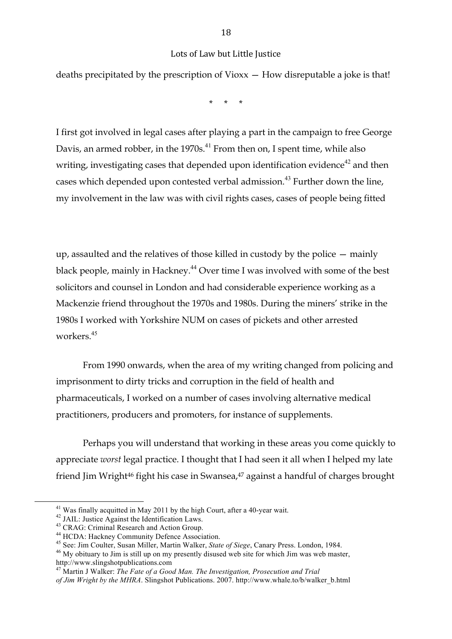deaths precipitated by the prescription of Vioxx — How disreputable a joke is that!

\* \* \*

I first got involved in legal cases after playing a part in the campaign to free George Davis, an armed robber, in the  $1970s<sup>41</sup>$  From then on, I spent time, while also writing, investigating cases that depended upon identification evidence<sup>42</sup> and then cases which depended upon contested verbal admission.<sup>43</sup> Further down the line, my involvement in the law was with civil rights cases, cases of people being fitted

up, assaulted and the relatives of those killed in custody by the police — mainly black people, mainly in Hackney.<sup>44</sup> Over time I was involved with some of the best solicitors and counsel in London and had considerable experience working as a Mackenzie friend throughout the 1970s and 1980s. During the miners' strike in the 1980s I worked with Yorkshire NUM on cases of pickets and other arrested workers.<sup>45</sup>

From 1990 onwards, when the area of my writing changed from policing and imprisonment to dirty tricks and corruption in the field of health and pharmaceuticals, I worked on a number of cases involving alternative medical practitioners, producers and promoters, for instance of supplements.

Perhaps you will understand that working in these areas you come quickly to appreciate *worst* legal practice. I thought that I had seen it all when I helped my late friend Jim Wright<sup>46</sup> fight his case in Swansea,<sup>47</sup> against a handful of charges brought

<sup>&</sup>lt;sup>41</sup> Was finally acquitted in May 2011 by the high Court, after a 40-year wait.<br><sup>42</sup> JAIL: Justice Against the Identification Laws.<br><sup>43</sup> CRAG: Criminal Research and Action Group.<br><sup>44</sup> HCDA: Hackney Community Defence Assoc http://www.slingshotpublications.com

<sup>47</sup> Martin J Walker: *The Fate of a Good Man. The Investigation, Prosecution and Trial*

*of Jim Wright by the MHRA*. Slingshot Publications. 2007. http://www.whale.to/b/walker\_b.html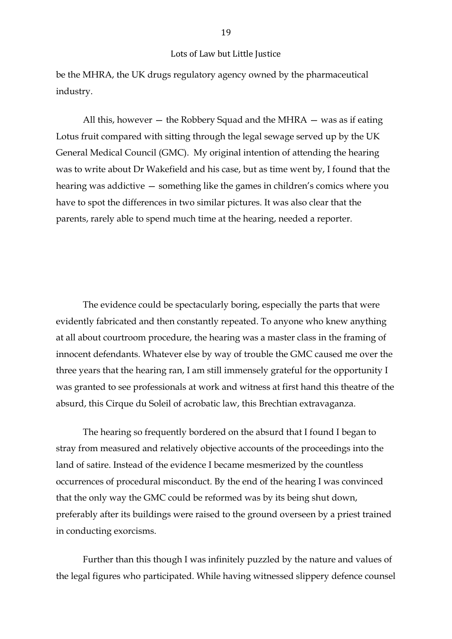be the MHRA, the UK drugs regulatory agency owned by the pharmaceutical industry.

All this, however  $-$  the Robbery Squad and the MHRA  $-$  was as if eating Lotus fruit compared with sitting through the legal sewage served up by the UK General Medical Council (GMC). My original intention of attending the hearing was to write about Dr Wakefield and his case, but as time went by, I found that the hearing was addictive — something like the games in children's comics where you have to spot the differences in two similar pictures. It was also clear that the parents, rarely able to spend much time at the hearing, needed a reporter.

The evidence could be spectacularly boring, especially the parts that were evidently fabricated and then constantly repeated. To anyone who knew anything at all about courtroom procedure, the hearing was a master class in the framing of innocent defendants. Whatever else by way of trouble the GMC caused me over the three years that the hearing ran, I am still immensely grateful for the opportunity I was granted to see professionals at work and witness at first hand this theatre of the absurd, this Cirque du Soleil of acrobatic law, this Brechtian extravaganza.

The hearing so frequently bordered on the absurd that I found I began to stray from measured and relatively objective accounts of the proceedings into the land of satire. Instead of the evidence I became mesmerized by the countless occurrences of procedural misconduct. By the end of the hearing I was convinced that the only way the GMC could be reformed was by its being shut down, preferably after its buildings were raised to the ground overseen by a priest trained in conducting exorcisms.

Further than this though I was infinitely puzzled by the nature and values of the legal figures who participated. While having witnessed slippery defence counsel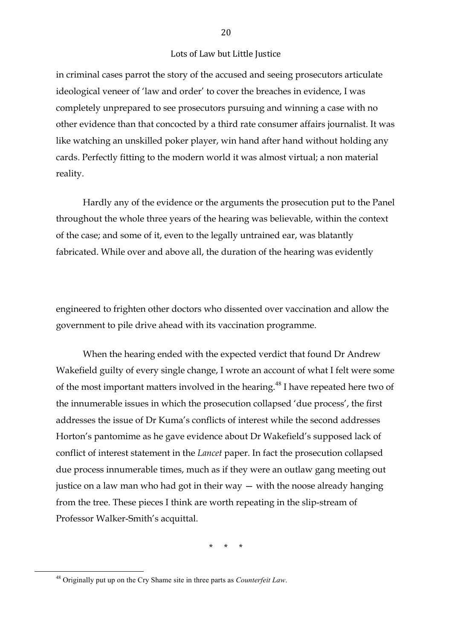in criminal cases parrot the story of the accused and seeing prosecutors articulate ideological veneer of 'law and order' to cover the breaches in evidence, I was completely unprepared to see prosecutors pursuing and winning a case with no other evidence than that concocted by a third rate consumer affairs journalist. It was like watching an unskilled poker player, win hand after hand without holding any cards. Perfectly fitting to the modern world it was almost virtual; a non material reality.

Hardly any of the evidence or the arguments the prosecution put to the Panel throughout the whole three years of the hearing was believable, within the context of the case; and some of it, even to the legally untrained ear, was blatantly fabricated. While over and above all, the duration of the hearing was evidently

engineered to frighten other doctors who dissented over vaccination and allow the government to pile drive ahead with its vaccination programme.

When the hearing ended with the expected verdict that found Dr Andrew Wakefield guilty of every single change, I wrote an account of what I felt were some of the most important matters involved in the hearing.<sup>48</sup> I have repeated here two of the innumerable issues in which the prosecution collapsed 'due process', the first addresses the issue of Dr Kuma's conflicts of interest while the second addresses Horton's pantomime as he gave evidence about Dr Wakefield's supposed lack of conflict of interest statement in the *Lancet* paper. In fact the prosecution collapsed due process innumerable times, much as if they were an outlaw gang meeting out justice on a law man who had got in their way — with the noose already hanging from the tree. These pieces I think are worth repeating in the slip-stream of Professor Walker-Smith's acquittal.

\* \* \*

<sup>&</sup>lt;sup>48</sup> Originally put up on the Cry Shame site in three parts as *Counterfeit Law*.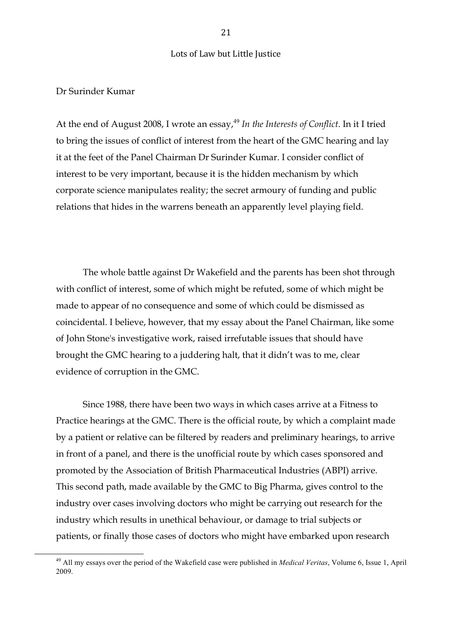#### Dr Surinder Kumar

At the end of August 2008, I wrote an essay,<sup>49</sup> In the Interests of Conflict. In it I tried to bring the issues of conflict of interest from the heart of the GMC hearing and lay it at the feet of the Panel Chairman Dr Surinder Kumar. I consider conflict of interest to be very important, because it is the hidden mechanism by which corporate science manipulates reality; the secret armoury of funding and public relations that hides in the warrens beneath an apparently level playing field.

The whole battle against Dr Wakefield and the parents has been shot through with conflict of interest, some of which might be refuted, some of which might be made to appear of no consequence and some of which could be dismissed as coincidental. I believe, however, that my essay about the Panel Chairman, like some of John Stone's investigative work, raised irrefutable issues that should have brought the GMC hearing to a juddering halt, that it didn't was to me, clear evidence of corruption in the GMC.

Since 1988, there have been two ways in which cases arrive at a Fitness to Practice hearings at the GMC. There is the official route, by which a complaint made by a patient or relative can be filtered by readers and preliminary hearings, to arrive in front of a panel, and there is the unofficial route by which cases sponsored and promoted by the Association of British Pharmaceutical Industries (ABPI) arrive. This second path, made available by the GMC to Big Pharma, gives control to the industry over cases involving doctors who might be carrying out research for the industry which results in unethical behaviour, or damage to trial subjects or patients, or finally those cases of doctors who might have embarked upon research

<sup>&</sup>lt;sup>49</sup> All my essays over the period of the Wakefield case were published in *Medical Veritas*, Volume 6, Issue 1, April 2009.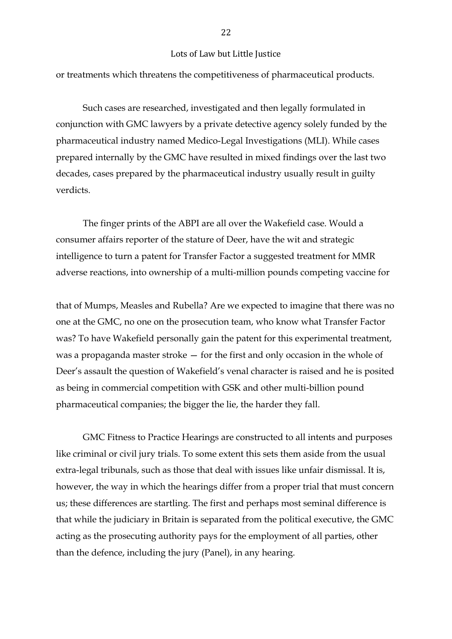or treatments which threatens the competitiveness of pharmaceutical products.

Such cases are researched, investigated and then legally formulated in conjunction with GMC lawyers by a private detective agency solely funded by the pharmaceutical industry named Medico-Legal Investigations (MLI). While cases prepared internally by the GMC have resulted in mixed findings over the last two decades, cases prepared by the pharmaceutical industry usually result in guilty verdicts.

The finger prints of the ABPI are all over the Wakefield case. Would a consumer affairs reporter of the stature of Deer, have the wit and strategic intelligence to turn a patent for Transfer Factor a suggested treatment for MMR adverse reactions, into ownership of a multi-million pounds competing vaccine for

that of Mumps, Measles and Rubella? Are we expected to imagine that there was no one at the GMC, no one on the prosecution team, who know what Transfer Factor was? To have Wakefield personally gain the patent for this experimental treatment, was a propaganda master stroke — for the first and only occasion in the whole of Deer's assault the question of Wakefield's venal character is raised and he is posited as being in commercial competition with GSK and other multi-billion pound pharmaceutical companies; the bigger the lie, the harder they fall.

GMC Fitness to Practice Hearings are constructed to all intents and purposes like criminal or civil jury trials. To some extent this sets them aside from the usual extra-legal tribunals, such as those that deal with issues like unfair dismissal. It is, however, the way in which the hearings differ from a proper trial that must concern us; these differences are startling. The first and perhaps most seminal difference is that while the judiciary in Britain is separated from the political executive, the GMC acting as the prosecuting authority pays for the employment of all parties, other than the defence, including the jury (Panel), in any hearing.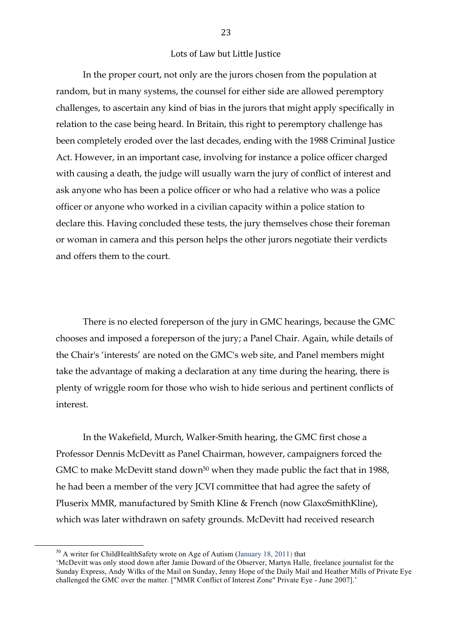In the proper court, not only are the jurors chosen from the population at random, but in many systems, the counsel for either side are allowed peremptory challenges, to ascertain any kind of bias in the jurors that might apply specifically in relation to the case being heard. In Britain, this right to peremptory challenge has been completely eroded over the last decades, ending with the 1988 Criminal Justice Act. However, in an important case, involving for instance a police officer charged with causing a death, the judge will usually warn the jury of conflict of interest and ask anyone who has been a police officer or who had a relative who was a police officer or anyone who worked in a civilian capacity within a police station to declare this. Having concluded these tests, the jury themselves chose their foreman or woman in camera and this person helps the other jurors negotiate their verdicts and offers them to the court.

There is no elected foreperson of the jury in GMC hearings, because the GMC chooses and imposed a foreperson of the jury; a Panel Chair. Again, while details of the Chair's 'interests' are noted on the GMC's web site, and Panel members might take the advantage of making a declaration at any time during the hearing, there is plenty of wriggle room for those who wish to hide serious and pertinent conflicts of interest.

In the Wakefield, Murch, Walker-Smith hearing, the GMC first chose a Professor Dennis McDevitt as Panel Chairman, however, campaigners forced the GMC to make McDevitt stand down<sup>50</sup> when they made public the fact that in 1988, he had been a member of the very JCVI committee that had agree the safety of Pluserix MMR, manufactured by Smith Kline & French (now GlaxoSmithKline), which was later withdrawn on safety grounds. McDevitt had received research

 $10^{50}$  A writer for ChildHealthSafety wrote on Age of Autism (January 18, 2011) that

<sup>&#</sup>x27;McDevitt was only stood down after Jamie Doward of the Observer, Martyn Halle, freelance journalist for the Sunday Express, Andy Wilks of the Mail on Sunday, Jenny Hope of the Daily Mail and Heather Mills of Private Eye challenged the GMC over the matter. ["MMR Conflict of Interest Zone" Private Eye - June 2007].'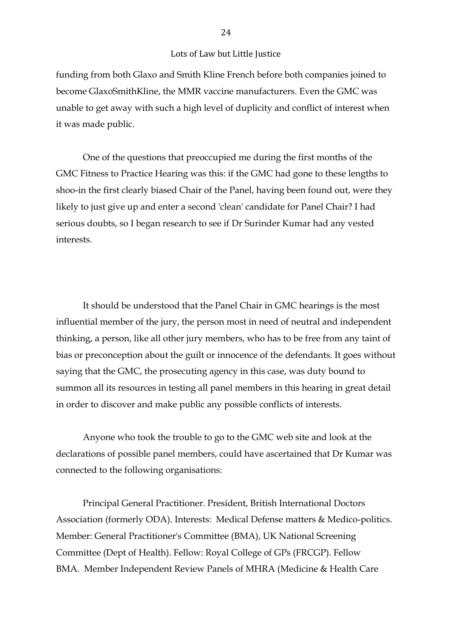funding from both Glaxo and Smith Kline French before both companies joined to become GlaxoSmithKline, the MMR vaccine manufacturers. Even the GMC was unable to get away with such a high level of duplicity and conflict of interest when it was made public.

One of the questions that preoccupied me during the first months of the GMC Fitness to Practice Hearing was this: if the GMC had gone to these lengths to shoo-in the first clearly biased Chair of the Panel, having been found out, were they likely to just give up and enter a second 'clean' candidate for Panel Chair? I had serious doubts, so I began research to see if Dr Surinder Kumar had any vested interests.

It should be understood that the Panel Chair in GMC hearings is the most influential member of the jury, the person most in need of neutral and independent thinking, a person, like all other jury members, who has to be free from any taint of bias or preconception about the guilt or innocence of the defendants. It goes without saying that the GMC, the prosecuting agency in this case, was duty bound to summon all its resources in testing all panel members in this hearing in great detail in order to discover and make public any possible conflicts of interests.

Anyone who took the trouble to go to the GMC web site and look at the declarations of possible panel members, could have ascertained that Dr Kumar was connected to the following organisations:

Principal General Practitioner. President, British International Doctors Association (formerly ODA). Interests: Medical Defense matters & Medico-politics. Member: General Practitioner's Committee (BMA), UK National Screening Committee (Dept of Health). Fellow: Royal College of GPs (FRCGP). Fellow BMA. Member Independent Review Panels of MHRA (Medicine & Health Care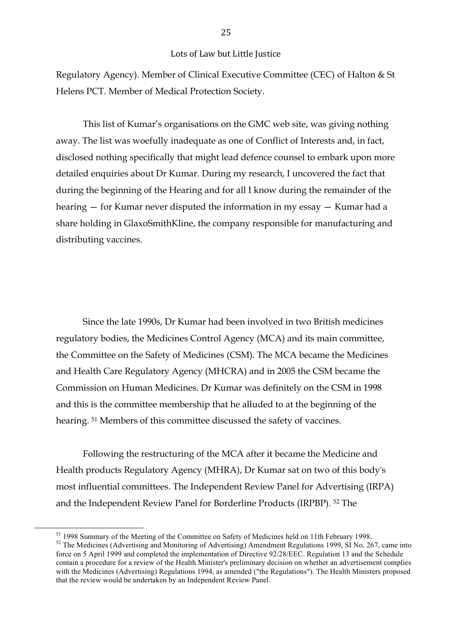Regulatory Agency). Member of Clinical Executive Committee (CEC) of Halton & St Helens PCT. Member of Medical Protection Society.

This list of Kumar's organisations on the GMC web site, was giving nothing away. The list was woefully inadequate as one of Conflict of Interests and, in fact, disclosed nothing specifically that might lead defence counsel to embark upon more detailed enquiries about Dr Kumar. During my research, I uncovered the fact that during the beginning of the Hearing and for all I know during the remainder of the hearing — for Kumar never disputed the information in my essay — Kumar had a share holding in GlaxoSmithKline, the company responsible for manufacturing and distributing vaccines.

Since the late 1990s, Dr Kumar had been involved in two British medicines regulatory bodies, the Medicines Control Agency (MCA) and its main committee, the Committee on the Safety of Medicines (CSM). The MCA became the Medicines and Health Care Regulatory Agency (MHCRA) and in 2005 the CSM became the Commission on Human Medicines. Dr Kumar was definitely on the CSM in 1998 and this is the committee membership that he alluded to at the beginning of the hearing. 51 Members of this committee discussed the safety of vaccines.

Following the restructuring of the MCA after it became the Medicine and Health products Regulatory Agency (MHRA), Dr Kumar sat on two of this body's most influential committees. The Independent Review Panel for Advertising (IRPA) and the Independent Review Panel for Borderline Products (IRPBP). 52 The

 $51$  1998 Summary of the Meeting of the Committee on Safety of Medicines held on 11th February 1998.<br><sup>52</sup> The Medicines (Advertising and Monitoring of Advertising) Amendment Regulations 1999, SI No. 267, came into force on 5 April 1999 and completed the implementation of Directive 92/28/EEC. Regulation 13 and the Schedule contain a procedure for a review of the Health Minister's preliminary decision on whether an advertisement complies with the Medicines (Advertising) Regulations 1994, as amended ("the Regulations"). The Health Ministers proposed that the review would be undertaken by an Independent Review Panel.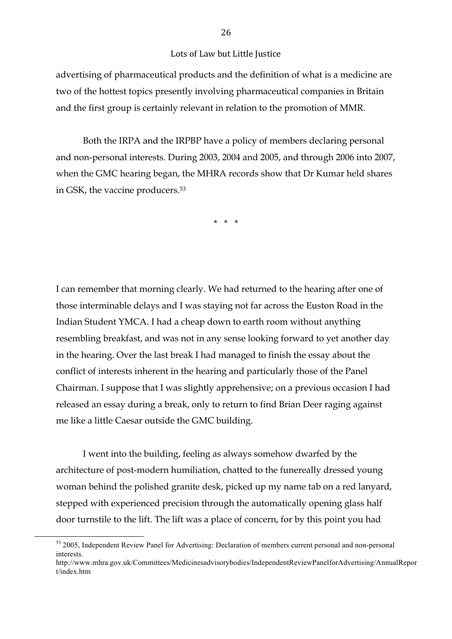advertising of pharmaceutical products and the definition of what is a medicine are two of the hottest topics presently involving pharmaceutical companies in Britain and the first group is certainly relevant in relation to the promotion of MMR.

Both the IRPA and the IRPBP have a policy of members declaring personal and non-personal interests. During 2003, 2004 and 2005, and through 2006 into 2007, when the GMC hearing began, the MHRA records show that Dr Kumar held shares in GSK, the vaccine producers.53

\* \* \*

I can remember that morning clearly. We had returned to the hearing after one of those interminable delays and I was staying not far across the Euston Road in the Indian Student YMCA. I had a cheap down to earth room without anything resembling breakfast, and was not in any sense looking forward to yet another day in the hearing. Over the last break I had managed to finish the essay about the conflict of interests inherent in the hearing and particularly those of the Panel Chairman. I suppose that I was slightly apprehensive; on a previous occasion I had released an essay during a break, only to return to find Brian Deer raging against me like a little Caesar outside the GMC building.

I went into the building, feeling as always somehow dwarfed by the architecture of post-modern humiliation, chatted to the funereally dressed young woman behind the polished granite desk, picked up my name tab on a red lanyard, stepped with experienced precision through the automatically opening glass half door turnstile to the lift. The lift was a place of concern, for by this point you had

<sup>&</sup>lt;sup>53</sup> 2005, Independent Review Panel for Advertising: Declaration of members current personal and non-personal interests.

http://www.mhra.gov.uk/Committees/Medicinesadvisorybodies/IndependentReviewPanelforAdvertising/AnnualRepor t/index.htm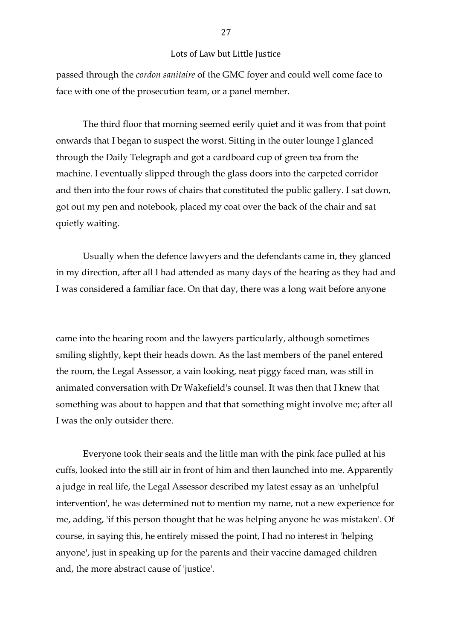passed through the *cordon sanitaire* of the GMC foyer and could well come face to face with one of the prosecution team, or a panel member.

The third floor that morning seemed eerily quiet and it was from that point onwards that I began to suspect the worst. Sitting in the outer lounge I glanced through the Daily Telegraph and got a cardboard cup of green tea from the machine. I eventually slipped through the glass doors into the carpeted corridor and then into the four rows of chairs that constituted the public gallery. I sat down, got out my pen and notebook, placed my coat over the back of the chair and sat quietly waiting.

Usually when the defence lawyers and the defendants came in, they glanced in my direction, after all I had attended as many days of the hearing as they had and I was considered a familiar face. On that day, there was a long wait before anyone

came into the hearing room and the lawyers particularly, although sometimes smiling slightly, kept their heads down. As the last members of the panel entered the room, the Legal Assessor, a vain looking, neat piggy faced man, was still in animated conversation with Dr Wakefield's counsel. It was then that I knew that something was about to happen and that that something might involve me; after all I was the only outsider there.

Everyone took their seats and the little man with the pink face pulled at his cuffs, looked into the still air in front of him and then launched into me. Apparently a judge in real life, the Legal Assessor described my latest essay as an 'unhelpful intervention', he was determined not to mention my name, not a new experience for me, adding, 'if this person thought that he was helping anyone he was mistaken'. Of course, in saying this, he entirely missed the point, I had no interest in 'helping anyone', just in speaking up for the parents and their vaccine damaged children and, the more abstract cause of 'justice'.

27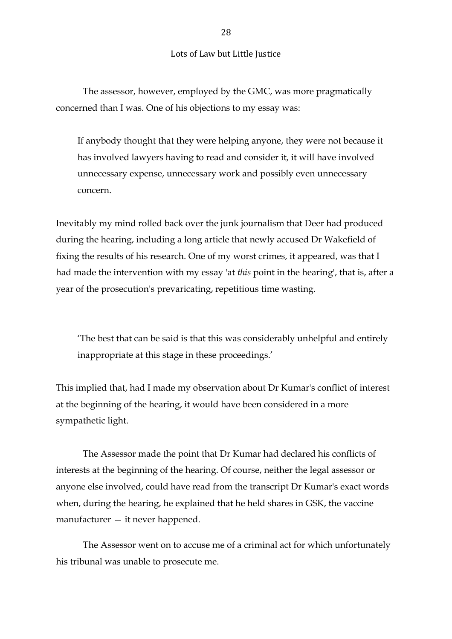The assessor, however, employed by the GMC, was more pragmatically concerned than I was. One of his objections to my essay was:

If anybody thought that they were helping anyone, they were not because it has involved lawyers having to read and consider it, it will have involved unnecessary expense, unnecessary work and possibly even unnecessary concern.

Inevitably my mind rolled back over the junk journalism that Deer had produced during the hearing, including a long article that newly accused Dr Wakefield of fixing the results of his research. One of my worst crimes, it appeared, was that I had made the intervention with my essay 'at *this* point in the hearing', that is, after a year of the prosecution's prevaricating, repetitious time wasting.

'The best that can be said is that this was considerably unhelpful and entirely inappropriate at this stage in these proceedings.'

This implied that, had I made my observation about Dr Kumar's conflict of interest at the beginning of the hearing, it would have been considered in a more sympathetic light.

The Assessor made the point that Dr Kumar had declared his conflicts of interests at the beginning of the hearing. Of course, neither the legal assessor or anyone else involved, could have read from the transcript Dr Kumar's exact words when, during the hearing, he explained that he held shares in GSK, the vaccine manufacturer — it never happened.

The Assessor went on to accuse me of a criminal act for which unfortunately his tribunal was unable to prosecute me.

28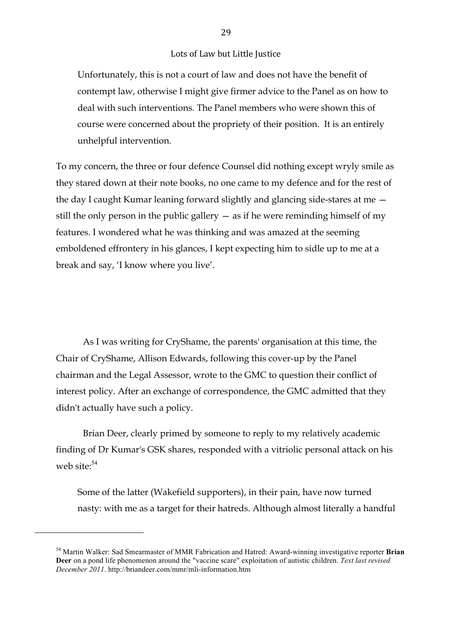Unfortunately, this is not a court of law and does not have the benefit of contempt law, otherwise I might give firmer advice to the Panel as on how to deal with such interventions. The Panel members who were shown this of course were concerned about the propriety of their position. It is an entirely unhelpful intervention.

To my concern, the three or four defence Counsel did nothing except wryly smile as they stared down at their note books, no one came to my defence and for the rest of the day I caught Kumar leaning forward slightly and glancing side-stares at me still the only person in the public gallery  $-$  as if he were reminding himself of my features. I wondered what he was thinking and was amazed at the seeming emboldened effrontery in his glances, I kept expecting him to sidle up to me at a break and say, 'I know where you live'.

As I was writing for CryShame, the parents' organisation at this time, the Chair of CryShame, Allison Edwards, following this cover-up by the Panel chairman and the Legal Assessor, wrote to the GMC to question their conflict of interest policy. After an exchange of correspondence, the GMC admitted that they didn't actually have such a policy.

Brian Deer, clearly primed by someone to reply to my relatively academic finding of Dr Kumar's GSK shares, responded with a vitriolic personal attack on his web site: $54$ 

Some of the latter (Wakefield supporters), in their pain, have now turned nasty: with me as a target for their hatreds. Although almost literally a handful

!!!!!!!!!!!!!!!!!!!!!!!!!!!!!!!!!!!!!!!!!!!!!!!!!!!!!!!

<sup>54</sup> Martin Walker: Sad Smearmaster of MMR Fabrication and Hatred: Award-winning investigative reporter **Brian Deer** on a pond life phenomenon around the "vaccine scare" exploitation of autistic children. *Text last revised December 2011*. http://briandeer.com/mmr/mli-information.htm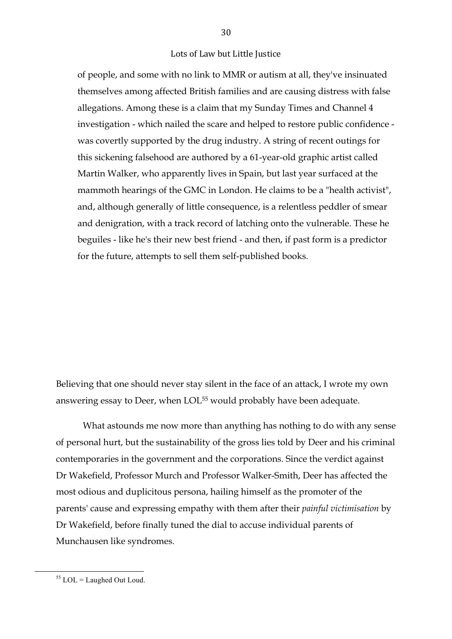of people, and some with no link to MMR or autism at all, they've insinuated themselves among affected British families and are causing distress with false allegations. Among these is a claim that my Sunday Times and Channel 4 investigation - which nailed the scare and helped to restore public confidence was covertly supported by the drug industry. A string of recent outings for this sickening falsehood are authored by a 61-year-old graphic artist called Martin Walker, who apparently lives in Spain, but last year surfaced at the mammoth hearings of the GMC in London. He claims to be a "health activist", and, although generally of little consequence, is a relentless peddler of smear and denigration, with a track record of latching onto the vulnerable. These he beguiles - like he's their new best friend - and then, if past form is a predictor for the future, attempts to sell them self-published books.

Believing that one should never stay silent in the face of an attack, I wrote my own answering essay to Deer, when LOL<sup>55</sup> would probably have been adequate.

What astounds me now more than anything has nothing to do with any sense of personal hurt, but the sustainability of the gross lies told by Deer and his criminal contemporaries in the government and the corporations. Since the verdict against Dr Wakefield, Professor Murch and Professor Walker-Smith, Deer has affected the most odious and duplicitous persona, hailing himself as the promoter of the parents' cause and expressing empathy with them after their *painful victimisation* by Dr Wakefield, before finally tuned the dial to accuse individual parents of Munchausen like syndromes.

 $55$  LOL = Laughed Out Loud.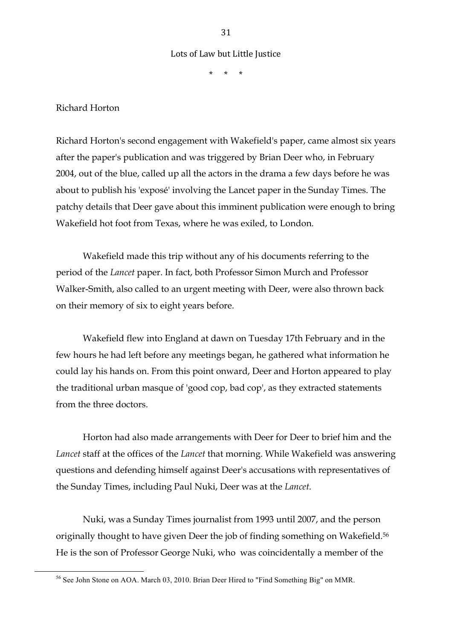\* \* \*

Richard Horton

Richard Horton's second engagement with Wakefield's paper, came almost six years after the paper's publication and was triggered by Brian Deer who, in February 2004, out of the blue, called up all the actors in the drama a few days before he was about to publish his 'exposé' involving the Lancet paper in the Sunday Times. The patchy details that Deer gave about this imminent publication were enough to bring Wakefield hot foot from Texas, where he was exiled, to London.

Wakefield made this trip without any of his documents referring to the period of the *Lancet* paper. In fact, both Professor Simon Murch and Professor Walker-Smith, also called to an urgent meeting with Deer, were also thrown back on their memory of six to eight years before.

Wakefield flew into England at dawn on Tuesday 17th February and in the few hours he had left before any meetings began, he gathered what information he could lay his hands on. From this point onward, Deer and Horton appeared to play the traditional urban masque of 'good cop, bad cop', as they extracted statements from the three doctors.

Horton had also made arrangements with Deer for Deer to brief him and the *Lancet* staff at the offices of the *Lancet* that morning. While Wakefield was answering questions and defending himself against Deer's accusations with representatives of the Sunday Times, including Paul Nuki, Deer was at the *Lancet*.

Nuki, was a Sunday Times journalist from 1993 until 2007, and the person originally thought to have given Deer the job of finding something on Wakefield.56 He is the son of Professor George Nuki, who was coincidentally a member of the

<sup>&</sup>lt;sup>56</sup> See John Stone on AOA. March 03, 2010. Brian Deer Hired to "Find Something Big" on MMR.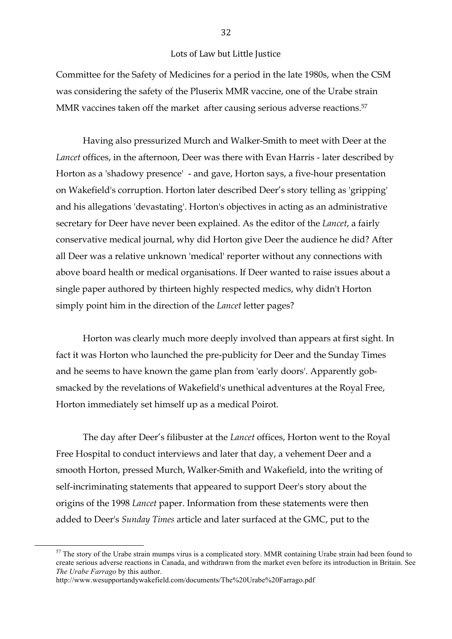Committee for the Safety of Medicines for a period in the late 1980s, when the CSM was considering the safety of the Pluserix MMR vaccine, one of the Urabe strain MMR vaccines taken off the market after causing serious adverse reactions.<sup>57</sup>

Having also pressurized Murch and Walker-Smith to meet with Deer at the *Lancet* offices, in the afternoon, Deer was there with Evan Harris - later described by Horton as a 'shadowy presence' - and gave, Horton says, a five-hour presentation on Wakefield's corruption. Horton later described Deer's story telling as 'gripping' and his allegations 'devastating'. Horton's objectives in acting as an administrative secretary for Deer have never been explained. As the editor of the *Lancet*, a fairly conservative medical journal, why did Horton give Deer the audience he did? After all Deer was a relative unknown 'medical' reporter without any connections with above board health or medical organisations. If Deer wanted to raise issues about a single paper authored by thirteen highly respected medics, why didn't Horton simply point him in the direction of the *Lancet* letter pages?

Horton was clearly much more deeply involved than appears at first sight. In fact it was Horton who launched the pre-publicity for Deer and the Sunday Times and he seems to have known the game plan from 'early doors'. Apparently gobsmacked by the revelations of Wakefield's unethical adventures at the Royal Free, Horton immediately set himself up as a medical Poirot.

The day after Deer's filibuster at the *Lancet* offices, Horton went to the Royal Free Hospital to conduct interviews and later that day, a vehement Deer and a smooth Horton, pressed Murch, Walker-Smith and Wakefield, into the writing of self-incriminating statements that appeared to support Deer's story about the origins of the 1998 *Lancet* paper. Information from these statements were then added to Deer's *Sunday Times* article and later surfaced at the GMC, put to the

 $57$  The story of the Urabe strain mumps virus is a complicated story. MMR containing Urabe strain had been found to create serious adverse reactions in Canada, and withdrawn from the market even before its introduction in Britain. See *The Urabe Farrago* by this author.

http://www.wesupportandywakefield.com/documents/The%20Urabe%20Farrago.pdf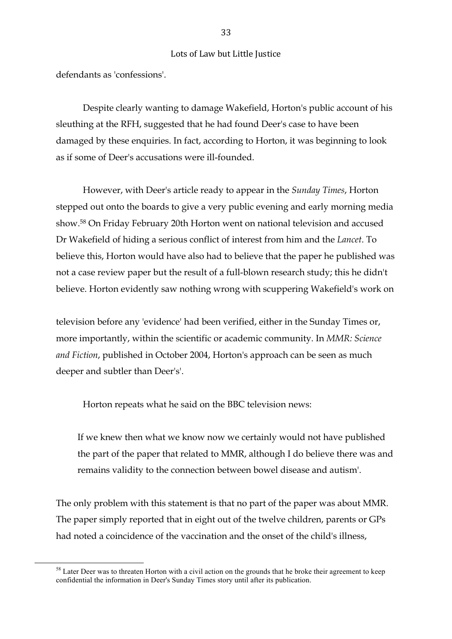defendants as 'confessions'.

Despite clearly wanting to damage Wakefield, Horton's public account of his sleuthing at the RFH, suggested that he had found Deer's case to have been damaged by these enquiries. In fact, according to Horton, it was beginning to look as if some of Deer's accusations were ill-founded.

However, with Deer's article ready to appear in the *Sunday Times*, Horton stepped out onto the boards to give a very public evening and early morning media show.58 On Friday February 20th Horton went on national television and accused Dr Wakefield of hiding a serious conflict of interest from him and the *Lancet*. To believe this, Horton would have also had to believe that the paper he published was not a case review paper but the result of a full-blown research study; this he didn't believe. Horton evidently saw nothing wrong with scuppering Wakefield's work on

television before any 'evidence' had been verified, either in the Sunday Times or, more importantly, within the scientific or academic community. In *MMR: Science and Fiction*, published in October 2004, Horton's approach can be seen as much deeper and subtler than Deer's'.

Horton repeats what he said on the BBC television news:

If we knew then what we know now we certainly would not have published the part of the paper that related to MMR, although I do believe there was and remains validity to the connection between bowel disease and autism'.

The only problem with this statement is that no part of the paper was about MMR. The paper simply reported that in eight out of the twelve children, parents or GPs had noted a coincidence of the vaccination and the onset of the child's illness,

 $58$  Later Deer was to threaten Horton with a civil action on the grounds that he broke their agreement to keep confidential the information in Deer's Sunday Times story until after its publication.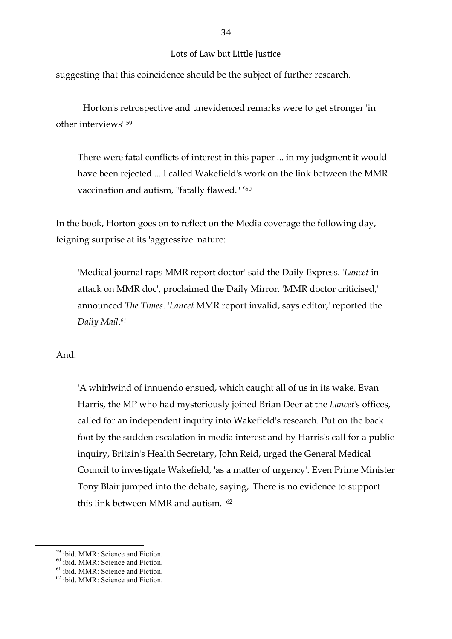suggesting that this coincidence should be the subject of further research.

Horton's retrospective and unevidenced remarks were to get stronger 'in other interviews' 59

There were fatal conflicts of interest in this paper ... in my judgment it would have been rejected ... I called Wakefield's work on the link between the MMR vaccination and autism, "fatally flawed." '60

In the book, Horton goes on to reflect on the Media coverage the following day, feigning surprise at its 'aggressive' nature:

'Medical journal raps MMR report doctor' said the Daily Express. '*Lancet* in attack on MMR doc', proclaimed the Daily Mirror. 'MMR doctor criticised,' announced *The Times*. '*Lancet* MMR report invalid, says editor,' reported the *Daily Mail*. 61

## And:

'A whirlwind of innuendo ensued, which caught all of us in its wake. Evan Harris, the MP who had mysteriously joined Brian Deer at the *Lancet*'s offices, called for an independent inquiry into Wakefield's research. Put on the back foot by the sudden escalation in media interest and by Harris's call for a public inquiry, Britain's Health Secretary, John Reid, urged the General Medical Council to investigate Wakefield, 'as a matter of urgency'. Even Prime Minister Tony Blair jumped into the debate, saying, 'There is no evidence to support this link between MMR and autism.' 62

<sup>&</sup>lt;sup>59</sup> ibid. MMR: Science and Fiction.<br><sup>60</sup> ibid. MMR: Science and Fiction. 61 ibid. MMR: Science and Fiction. 62 ibid. MMR: Science and Fiction.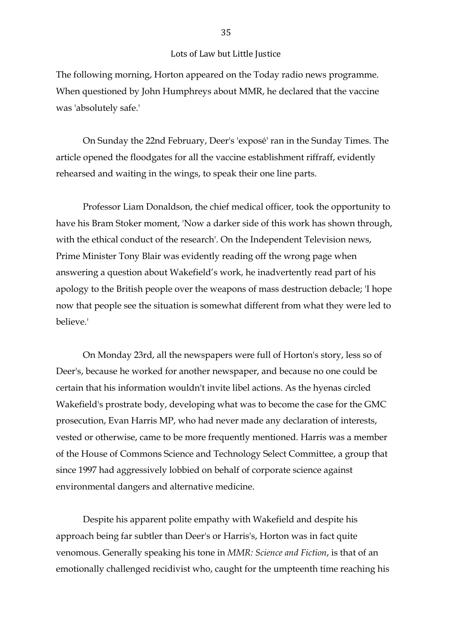The following morning, Horton appeared on the Today radio news programme. When questioned by John Humphreys about MMR, he declared that the vaccine was 'absolutely safe.'

On Sunday the 22nd February, Deer's 'exposé' ran in the Sunday Times. The article opened the floodgates for all the vaccine establishment riffraff, evidently rehearsed and waiting in the wings, to speak their one line parts.

Professor Liam Donaldson, the chief medical officer, took the opportunity to have his Bram Stoker moment, 'Now a darker side of this work has shown through, with the ethical conduct of the research'. On the Independent Television news, Prime Minister Tony Blair was evidently reading off the wrong page when answering a question about Wakefield's work, he inadvertently read part of his apology to the British people over the weapons of mass destruction debacle; 'I hope now that people see the situation is somewhat different from what they were led to believe.'

On Monday 23rd, all the newspapers were full of Horton's story, less so of Deer's, because he worked for another newspaper, and because no one could be certain that his information wouldn't invite libel actions. As the hyenas circled Wakefield's prostrate body, developing what was to become the case for the GMC prosecution, Evan Harris MP, who had never made any declaration of interests, vested or otherwise, came to be more frequently mentioned. Harris was a member of the House of Commons Science and Technology Select Committee, a group that since 1997 had aggressively lobbied on behalf of corporate science against environmental dangers and alternative medicine.

Despite his apparent polite empathy with Wakefield and despite his approach being far subtler than Deer's or Harris's, Horton was in fact quite venomous. Generally speaking his tone in *MMR: Science and Fiction*, is that of an emotionally challenged recidivist who, caught for the umpteenth time reaching his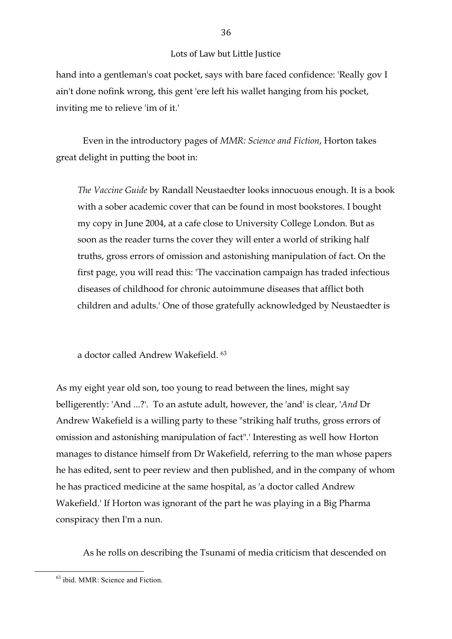hand into a gentleman's coat pocket, says with bare faced confidence: 'Really gov I ain't done nofink wrong, this gent 'ere left his wallet hanging from his pocket, inviting me to relieve 'im of it.'

Even in the introductory pages of *MMR: Science and Fiction*, Horton takes great delight in putting the boot in:

*The Vaccine Guide* by Randall Neustaedter looks innocuous enough. It is a book with a sober academic cover that can be found in most bookstores. I bought my copy in June 2004, at a cafe close to University College London. But as soon as the reader turns the cover they will enter a world of striking half truths, gross errors of omission and astonishing manipulation of fact. On the first page, you will read this: 'The vaccination campaign has traded infectious diseases of childhood for chronic autoimmune diseases that afflict both children and adults.' One of those gratefully acknowledged by Neustaedter is

a doctor called Andrew Wakefield. 63

As my eight year old son, too young to read between the lines, might say belligerently: 'And ...?'. To an astute adult, however, the 'and' is clear, '*And* Dr Andrew Wakefield is a willing party to these "striking half truths, gross errors of omission and astonishing manipulation of fact".' Interesting as well how Horton manages to distance himself from Dr Wakefield, referring to the man whose papers he has edited, sent to peer review and then published, and in the company of whom he has practiced medicine at the same hospital, as 'a doctor called Andrew Wakefield.' If Horton was ignorant of the part he was playing in a Big Pharma conspiracy then I'm a nun.

As he rolls on describing the Tsunami of media criticism that descended on

<sup>&</sup>lt;sup>63</sup> ibid. MMR: Science and Fiction.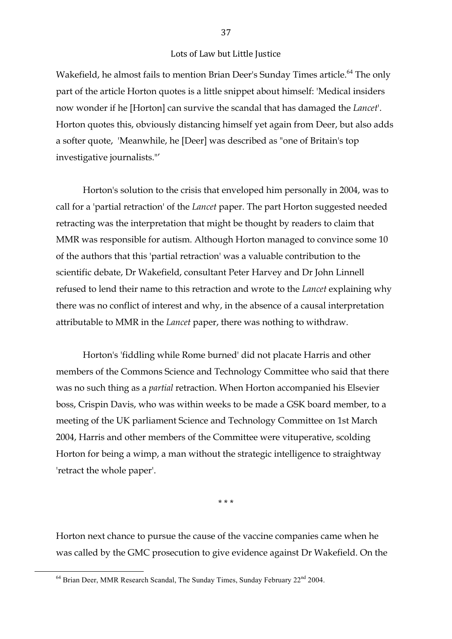Wakefield, he almost fails to mention Brian Deer's Sunday Times article.<sup>64</sup> The only part of the article Horton quotes is a little snippet about himself: 'Medical insiders now wonder if he [Horton] can survive the scandal that has damaged the *Lancet*'. Horton quotes this, obviously distancing himself yet again from Deer, but also adds a softer quote, 'Meanwhile, he [Deer] was described as "one of Britain's top investigative journalists."'

Horton's solution to the crisis that enveloped him personally in 2004, was to call for a 'partial retraction' of the *Lancet* paper. The part Horton suggested needed retracting was the interpretation that might be thought by readers to claim that MMR was responsible for autism. Although Horton managed to convince some 10 of the authors that this 'partial retraction' was a valuable contribution to the scientific debate, Dr Wakefield, consultant Peter Harvey and Dr John Linnell refused to lend their name to this retraction and wrote to the *Lancet* explaining why there was no conflict of interest and why, in the absence of a causal interpretation attributable to MMR in the *Lancet* paper, there was nothing to withdraw.

Horton's 'fiddling while Rome burned' did not placate Harris and other members of the Commons Science and Technology Committee who said that there was no such thing as a *partial* retraction. When Horton accompanied his Elsevier boss, Crispin Davis, who was within weeks to be made a GSK board member, to a meeting of the UK parliament Science and Technology Committee on 1st March 2004, Harris and other members of the Committee were vituperative, scolding Horton for being a wimp, a man without the strategic intelligence to straightway 'retract the whole paper'.

\* \* \*

Horton next chance to pursue the cause of the vaccine companies came when he was called by the GMC prosecution to give evidence against Dr Wakefield. On the

 $164$  Brian Deer, MMR Research Scandal, The Sunday Times, Sunday February  $22<sup>nd</sup> 2004$ .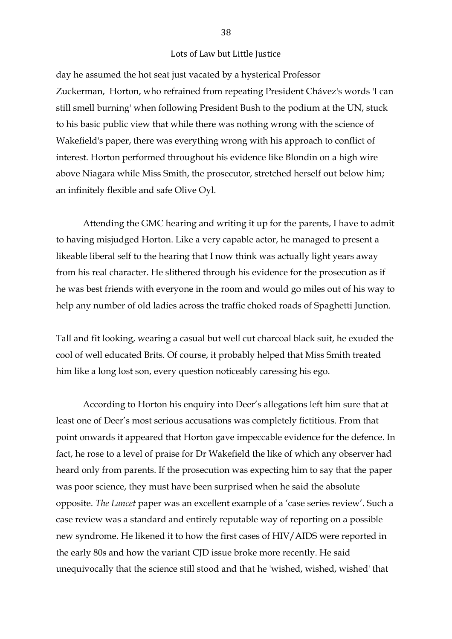day he assumed the hot seat just vacated by a hysterical Professor Zuckerman, Horton, who refrained from repeating President Chávez's words 'I can still smell burning' when following President Bush to the podium at the UN, stuck to his basic public view that while there was nothing wrong with the science of Wakefield's paper, there was everything wrong with his approach to conflict of interest. Horton performed throughout his evidence like Blondin on a high wire above Niagara while Miss Smith, the prosecutor, stretched herself out below him; an infinitely flexible and safe Olive Oyl.

Attending the GMC hearing and writing it up for the parents, I have to admit to having misjudged Horton. Like a very capable actor, he managed to present a likeable liberal self to the hearing that I now think was actually light years away from his real character. He slithered through his evidence for the prosecution as if he was best friends with everyone in the room and would go miles out of his way to help any number of old ladies across the traffic choked roads of Spaghetti Junction.

Tall and fit looking, wearing a casual but well cut charcoal black suit, he exuded the cool of well educated Brits. Of course, it probably helped that Miss Smith treated him like a long lost son, every question noticeably caressing his ego.

According to Horton his enquiry into Deer's allegations left him sure that at least one of Deer's most serious accusations was completely fictitious. From that point onwards it appeared that Horton gave impeccable evidence for the defence. In fact, he rose to a level of praise for Dr Wakefield the like of which any observer had heard only from parents. If the prosecution was expecting him to say that the paper was poor science, they must have been surprised when he said the absolute opposite. *The Lancet* paper was an excellent example of a 'case series review'. Such a case review was a standard and entirely reputable way of reporting on a possible new syndrome. He likened it to how the first cases of HIV/AIDS were reported in the early 80s and how the variant CJD issue broke more recently. He said unequivocally that the science still stood and that he 'wished, wished, wished' that

#### 38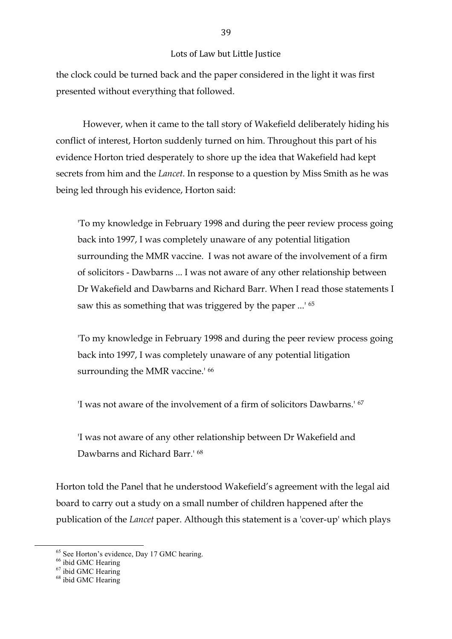the clock could be turned back and the paper considered in the light it was first presented without everything that followed.

However, when it came to the tall story of Wakefield deliberately hiding his conflict of interest, Horton suddenly turned on him. Throughout this part of his evidence Horton tried desperately to shore up the idea that Wakefield had kept secrets from him and the *Lancet*. In response to a question by Miss Smith as he was being led through his evidence, Horton said:

'To my knowledge in February 1998 and during the peer review process going back into 1997, I was completely unaware of any potential litigation surrounding the MMR vaccine. I was not aware of the involvement of a firm of solicitors - Dawbarns ... I was not aware of any other relationship between Dr Wakefield and Dawbarns and Richard Barr. When I read those statements I saw this as something that was triggered by the paper ...' 65

'To my knowledge in February 1998 and during the peer review process going back into 1997, I was completely unaware of any potential litigation surrounding the MMR vaccine.<sup>' 66</sup>

'I was not aware of the involvement of a firm of solicitors Dawbarns.' 67

'I was not aware of any other relationship between Dr Wakefield and Dawbarns and Richard Barr<sup>+68</sup>

Horton told the Panel that he understood Wakefield's agreement with the legal aid board to carry out a study on a small number of children happened after the publication of the *Lancet* paper. Although this statement is a 'cover-up' which plays

<sup>&</sup>lt;sup>65</sup> See Horton's evidence, Day 17 GMC hearing.<br>
<sup>66</sup> ibid GMC Hearing<br>
<sup>67</sup> ibid GMC Hearing<br>
<sup>68</sup> ibid GMC Hearing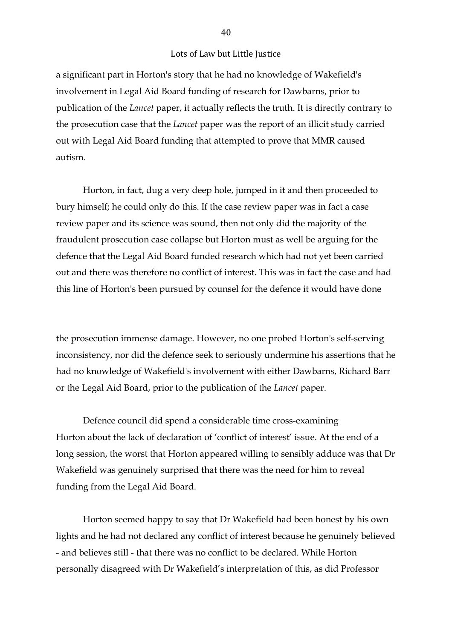a significant part in Horton's story that he had no knowledge of Wakefield's involvement in Legal Aid Board funding of research for Dawbarns, prior to publication of the *Lancet* paper, it actually reflects the truth. It is directly contrary to the prosecution case that the *Lancet* paper was the report of an illicit study carried out with Legal Aid Board funding that attempted to prove that MMR caused autism.

Horton, in fact, dug a very deep hole, jumped in it and then proceeded to bury himself; he could only do this. If the case review paper was in fact a case review paper and its science was sound, then not only did the majority of the fraudulent prosecution case collapse but Horton must as well be arguing for the defence that the Legal Aid Board funded research which had not yet been carried out and there was therefore no conflict of interest. This was in fact the case and had this line of Horton's been pursued by counsel for the defence it would have done

the prosecution immense damage. However, no one probed Horton's self-serving inconsistency, nor did the defence seek to seriously undermine his assertions that he had no knowledge of Wakefield's involvement with either Dawbarns, Richard Barr or the Legal Aid Board, prior to the publication of the *Lancet* paper.

Defence council did spend a considerable time cross-examining Horton about the lack of declaration of 'conflict of interest' issue. At the end of a long session, the worst that Horton appeared willing to sensibly adduce was that Dr Wakefield was genuinely surprised that there was the need for him to reveal funding from the Legal Aid Board.

Horton seemed happy to say that Dr Wakefield had been honest by his own lights and he had not declared any conflict of interest because he genuinely believed - and believes still - that there was no conflict to be declared. While Horton personally disagreed with Dr Wakefield's interpretation of this, as did Professor

40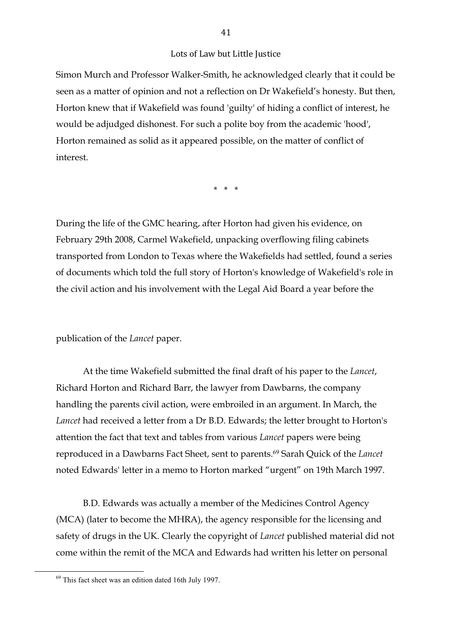Simon Murch and Professor Walker-Smith, he acknowledged clearly that it could be seen as a matter of opinion and not a reflection on Dr Wakefield's honesty. But then, Horton knew that if Wakefield was found 'guilty' of hiding a conflict of interest, he would be adjudged dishonest. For such a polite boy from the academic 'hood', Horton remained as solid as it appeared possible, on the matter of conflict of interest.

\* \* \*

During the life of the GMC hearing, after Horton had given his evidence, on February 29th 2008, Carmel Wakefield, unpacking overflowing filing cabinets transported from London to Texas where the Wakefields had settled, found a series of documents which told the full story of Horton's knowledge of Wakefield's role in the civil action and his involvement with the Legal Aid Board a year before the

publication of the *Lancet* paper.

At the time Wakefield submitted the final draft of his paper to the *Lancet*, Richard Horton and Richard Barr, the lawyer from Dawbarns, the company handling the parents civil action, were embroiled in an argument. In March, the *Lancet* had received a letter from a Dr B.D. Edwards; the letter brought to Horton's attention the fact that text and tables from various *Lancet* papers were being reproduced in a Dawbarns Fact Sheet, sent to parents.69 Sarah Quick of the *Lancet* noted Edwards' letter in a memo to Horton marked "urgent" on 19th March 1997.

B.D. Edwards was actually a member of the Medicines Control Agency (MCA) (later to become the MHRA), the agency responsible for the licensing and safety of drugs in the UK. Clearly the copyright of *Lancet* published material did not come within the remit of the MCA and Edwards had written his letter on personal

 $69$  This fact sheet was an edition dated 16th July 1997.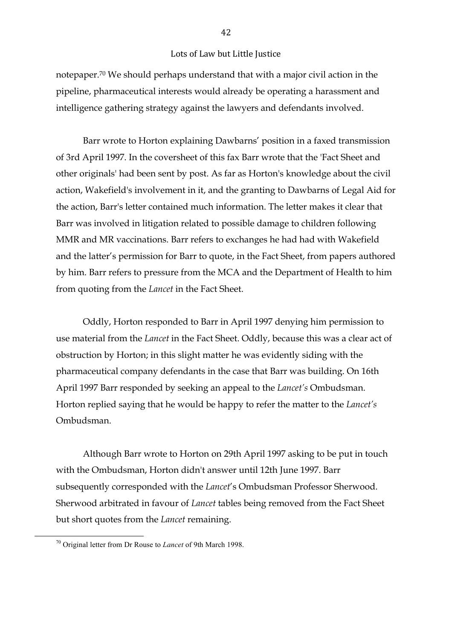notepaper.70 We should perhaps understand that with a major civil action in the pipeline, pharmaceutical interests would already be operating a harassment and intelligence gathering strategy against the lawyers and defendants involved.

Barr wrote to Horton explaining Dawbarns' position in a faxed transmission of 3rd April 1997. In the coversheet of this fax Barr wrote that the 'Fact Sheet and other originals' had been sent by post. As far as Horton's knowledge about the civil action, Wakefield's involvement in it, and the granting to Dawbarns of Legal Aid for the action, Barr's letter contained much information. The letter makes it clear that Barr was involved in litigation related to possible damage to children following MMR and MR vaccinations. Barr refers to exchanges he had had with Wakefield and the latter's permission for Barr to quote, in the Fact Sheet, from papers authored by him. Barr refers to pressure from the MCA and the Department of Health to him from quoting from the *Lancet* in the Fact Sheet.

Oddly, Horton responded to Barr in April 1997 denying him permission to use material from the *Lancet* in the Fact Sheet. Oddly, because this was a clear act of obstruction by Horton; in this slight matter he was evidently siding with the pharmaceutical company defendants in the case that Barr was building. On 16th April 1997 Barr responded by seeking an appeal to the *Lancet's* Ombudsman. Horton replied saying that he would be happy to refer the matter to the *Lancet's* Ombudsman.

Although Barr wrote to Horton on 29th April 1997 asking to be put in touch with the Ombudsman, Horton didn't answer until 12th June 1997. Barr subsequently corresponded with the *Lancet*'s Ombudsman Professor Sherwood. Sherwood arbitrated in favour of *Lancet* tables being removed from the Fact Sheet but short quotes from the *Lancet* remaining.

42

<sup>&</sup>lt;sup>70</sup> Original letter from Dr Rouse to *Lancet* of 9th March 1998.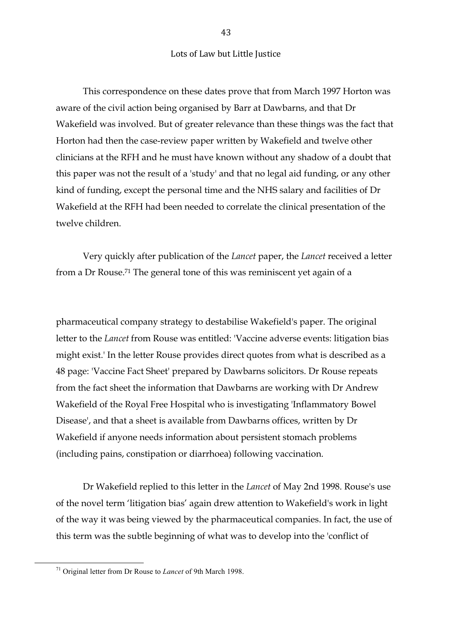This correspondence on these dates prove that from March 1997 Horton was aware of the civil action being organised by Barr at Dawbarns, and that Dr Wakefield was involved. But of greater relevance than these things was the fact that Horton had then the case-review paper written by Wakefield and twelve other clinicians at the RFH and he must have known without any shadow of a doubt that this paper was not the result of a 'study' and that no legal aid funding, or any other kind of funding, except the personal time and the NHS salary and facilities of Dr Wakefield at the RFH had been needed to correlate the clinical presentation of the twelve children.

Very quickly after publication of the *Lancet* paper, the *Lancet* received a letter from a Dr Rouse.71 The general tone of this was reminiscent yet again of a

pharmaceutical company strategy to destabilise Wakefield's paper. The original letter to the *Lancet* from Rouse was entitled: 'Vaccine adverse events: litigation bias might exist.' In the letter Rouse provides direct quotes from what is described as a 48 page: 'Vaccine Fact Sheet' prepared by Dawbarns solicitors. Dr Rouse repeats from the fact sheet the information that Dawbarns are working with Dr Andrew Wakefield of the Royal Free Hospital who is investigating 'Inflammatory Bowel Disease', and that a sheet is available from Dawbarns offices, written by Dr Wakefield if anyone needs information about persistent stomach problems (including pains, constipation or diarrhoea) following vaccination.

Dr Wakefield replied to this letter in the *Lancet* of May 2nd 1998. Rouse's use of the novel term 'litigation bias' again drew attention to Wakefield's work in light of the way it was being viewed by the pharmaceutical companies. In fact, the use of this term was the subtle beginning of what was to develop into the 'conflict of

<sup>&</sup>lt;sup>71</sup> Original letter from Dr Rouse to *Lancet* of 9th March 1998.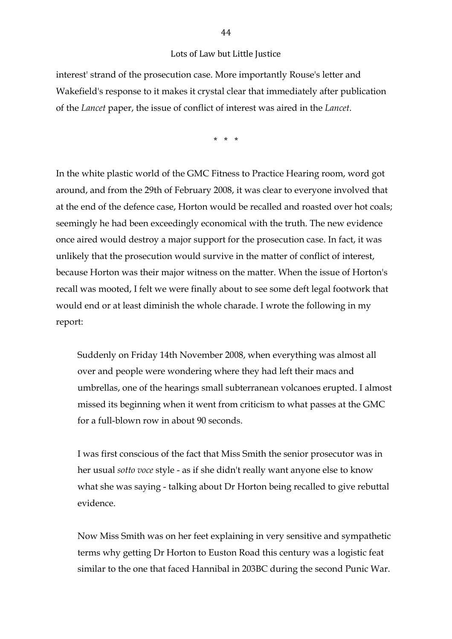interest' strand of the prosecution case. More importantly Rouse's letter and Wakefield's response to it makes it crystal clear that immediately after publication of the *Lancet* paper, the issue of conflict of interest was aired in the *Lancet*.

\* \* \*

In the white plastic world of the GMC Fitness to Practice Hearing room, word got around, and from the 29th of February 2008, it was clear to everyone involved that at the end of the defence case, Horton would be recalled and roasted over hot coals; seemingly he had been exceedingly economical with the truth. The new evidence once aired would destroy a major support for the prosecution case. In fact, it was unlikely that the prosecution would survive in the matter of conflict of interest, because Horton was their major witness on the matter. When the issue of Horton's recall was mooted, I felt we were finally about to see some deft legal footwork that would end or at least diminish the whole charade. I wrote the following in my report:

Suddenly on Friday 14th November 2008, when everything was almost all over and people were wondering where they had left their macs and umbrellas, one of the hearings small subterranean volcanoes erupted. I almost missed its beginning when it went from criticism to what passes at the GMC for a full-blown row in about 90 seconds.

I was first conscious of the fact that Miss Smith the senior prosecutor was in her usual *sotto voce* style - as if she didn't really want anyone else to know what she was saying - talking about Dr Horton being recalled to give rebuttal evidence.

Now Miss Smith was on her feet explaining in very sensitive and sympathetic terms why getting Dr Horton to Euston Road this century was a logistic feat similar to the one that faced Hannibal in 203BC during the second Punic War.

44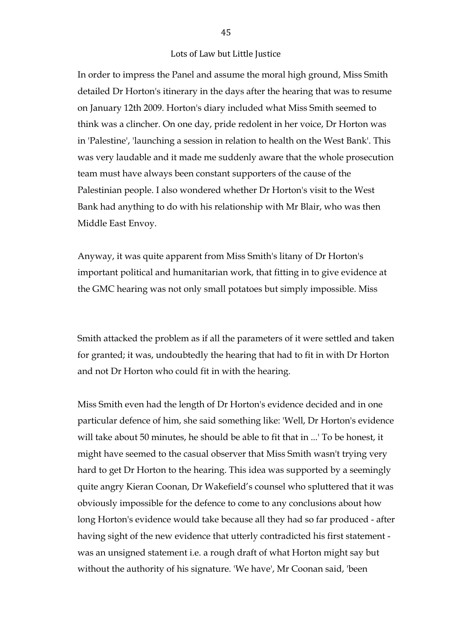In order to impress the Panel and assume the moral high ground, Miss Smith detailed Dr Horton's itinerary in the days after the hearing that was to resume on January 12th 2009. Horton's diary included what Miss Smith seemed to think was a clincher. On one day, pride redolent in her voice, Dr Horton was in 'Palestine', 'launching a session in relation to health on the West Bank'. This was very laudable and it made me suddenly aware that the whole prosecution team must have always been constant supporters of the cause of the Palestinian people. I also wondered whether Dr Horton's visit to the West Bank had anything to do with his relationship with Mr Blair, who was then Middle East Envoy.

Anyway, it was quite apparent from Miss Smith's litany of Dr Horton's important political and humanitarian work, that fitting in to give evidence at the GMC hearing was not only small potatoes but simply impossible. Miss

Smith attacked the problem as if all the parameters of it were settled and taken for granted; it was, undoubtedly the hearing that had to fit in with Dr Horton and not Dr Horton who could fit in with the hearing.

Miss Smith even had the length of Dr Horton's evidence decided and in one particular defence of him, she said something like: 'Well, Dr Horton's evidence will take about 50 minutes, he should be able to fit that in ...' To be honest, it might have seemed to the casual observer that Miss Smith wasn't trying very hard to get Dr Horton to the hearing. This idea was supported by a seemingly quite angry Kieran Coonan, Dr Wakefield's counsel who spluttered that it was obviously impossible for the defence to come to any conclusions about how long Horton's evidence would take because all they had so far produced - after having sight of the new evidence that utterly contradicted his first statement was an unsigned statement i.e. a rough draft of what Horton might say but without the authority of his signature. 'We have', Mr Coonan said, 'been

45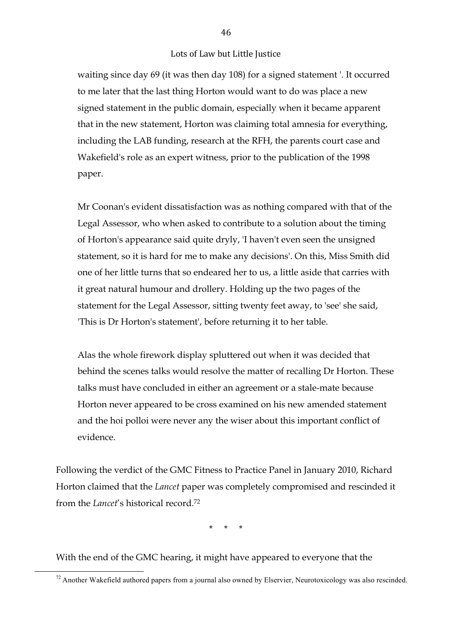waiting since day 69 (it was then day 108) for a signed statement '. It occurred to me later that the last thing Horton would want to do was place a new signed statement in the public domain, especially when it became apparent that in the new statement, Horton was claiming total amnesia for everything, including the LAB funding, research at the RFH, the parents court case and Wakefield's role as an expert witness, prior to the publication of the 1998 paper.

Mr Coonan's evident dissatisfaction was as nothing compared with that of the Legal Assessor, who when asked to contribute to a solution about the timing of Horton's appearance said quite dryly, 'I haven't even seen the unsigned statement, so it is hard for me to make any decisions'. On this, Miss Smith did one of her little turns that so endeared her to us, a little aside that carries with it great natural humour and drollery. Holding up the two pages of the statement for the Legal Assessor, sitting twenty feet away, to 'see' she said, 'This is Dr Horton's statement', before returning it to her table.

Alas the whole firework display spluttered out when it was decided that behind the scenes talks would resolve the matter of recalling Dr Horton. These talks must have concluded in either an agreement or a stale-mate because Horton never appeared to be cross examined on his new amended statement and the hoi polloi were never any the wiser about this important conflict of evidence.

Following the verdict of the GMC Fitness to Practice Panel in January 2010, Richard Horton claimed that the *Lancet* paper was completely compromised and rescinded it from the *Lancet*'s historical record.72

\* \* \*

With the end of the GMC hearing, it might have appeared to everyone that the

 $12$  Another Wakefield authored papers from a journal also owned by Elservier, Neurotoxicology was also rescinded.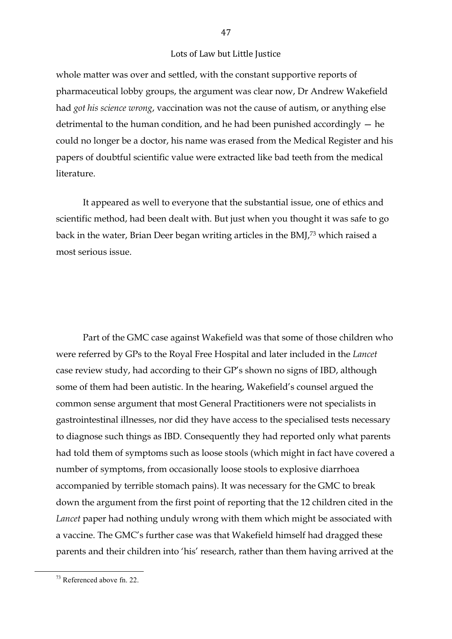whole matter was over and settled, with the constant supportive reports of pharmaceutical lobby groups, the argument was clear now, Dr Andrew Wakefield had *got his science wrong*, vaccination was not the cause of autism, or anything else detrimental to the human condition, and he had been punished accordingly — he could no longer be a doctor, his name was erased from the Medical Register and his papers of doubtful scientific value were extracted like bad teeth from the medical literature.

It appeared as well to everyone that the substantial issue, one of ethics and scientific method, had been dealt with. But just when you thought it was safe to go back in the water, Brian Deer began writing articles in the BMJ,73 which raised a most serious issue.

Part of the GMC case against Wakefield was that some of those children who were referred by GPs to the Royal Free Hospital and later included in the *Lancet* case review study, had according to their GP's shown no signs of IBD, although some of them had been autistic. In the hearing, Wakefield's counsel argued the common sense argument that most General Practitioners were not specialists in gastrointestinal illnesses, nor did they have access to the specialised tests necessary to diagnose such things as IBD. Consequently they had reported only what parents had told them of symptoms such as loose stools (which might in fact have covered a number of symptoms, from occasionally loose stools to explosive diarrhoea accompanied by terrible stomach pains). It was necessary for the GMC to break down the argument from the first point of reporting that the 12 children cited in the *Lancet* paper had nothing unduly wrong with them which might be associated with a vaccine. The GMC's further case was that Wakefield himself had dragged these parents and their children into 'his' research, rather than them having arrived at the

 $13$  Referenced above fn. 22.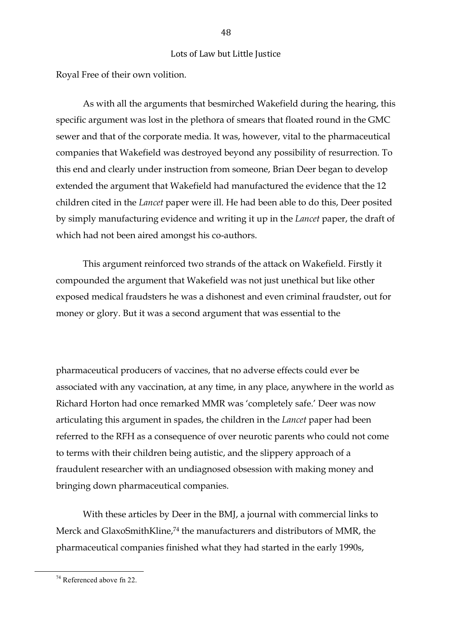Royal Free of their own volition.

As with all the arguments that besmirched Wakefield during the hearing, this specific argument was lost in the plethora of smears that floated round in the GMC sewer and that of the corporate media. It was, however, vital to the pharmaceutical companies that Wakefield was destroyed beyond any possibility of resurrection. To this end and clearly under instruction from someone, Brian Deer began to develop extended the argument that Wakefield had manufactured the evidence that the 12 children cited in the *Lancet* paper were ill. He had been able to do this, Deer posited by simply manufacturing evidence and writing it up in the *Lancet* paper, the draft of which had not been aired amongst his co-authors.

This argument reinforced two strands of the attack on Wakefield. Firstly it compounded the argument that Wakefield was not just unethical but like other exposed medical fraudsters he was a dishonest and even criminal fraudster, out for money or glory. But it was a second argument that was essential to the

pharmaceutical producers of vaccines, that no adverse effects could ever be associated with any vaccination, at any time, in any place, anywhere in the world as Richard Horton had once remarked MMR was 'completely safe.' Deer was now articulating this argument in spades, the children in the *Lancet* paper had been referred to the RFH as a consequence of over neurotic parents who could not come to terms with their children being autistic, and the slippery approach of a fraudulent researcher with an undiagnosed obsession with making money and bringing down pharmaceutical companies.

With these articles by Deer in the BMJ, a journal with commercial links to Merck and GlaxoSmithKline,<sup>74</sup> the manufacturers and distributors of MMR, the pharmaceutical companies finished what they had started in the early 1990s,

 $14$  Referenced above fn 22.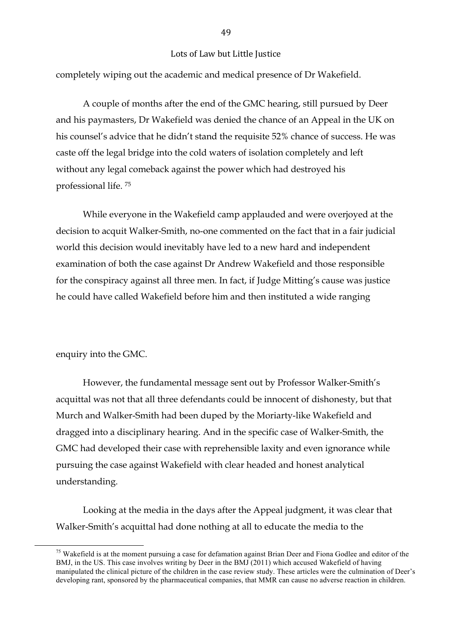completely wiping out the academic and medical presence of Dr Wakefield.

A couple of months after the end of the GMC hearing, still pursued by Deer and his paymasters, Dr Wakefield was denied the chance of an Appeal in the UK on his counsel's advice that he didn't stand the requisite 52% chance of success. He was caste off the legal bridge into the cold waters of isolation completely and left without any legal comeback against the power which had destroyed his professional life. 75

While everyone in the Wakefield camp applauded and were overjoyed at the decision to acquit Walker-Smith, no-one commented on the fact that in a fair judicial world this decision would inevitably have led to a new hard and independent examination of both the case against Dr Andrew Wakefield and those responsible for the conspiracy against all three men. In fact, if Judge Mitting's cause was justice he could have called Wakefield before him and then instituted a wide ranging

#### enquiry into the GMC.

However, the fundamental message sent out by Professor Walker-Smith's acquittal was not that all three defendants could be innocent of dishonesty, but that Murch and Walker-Smith had been duped by the Moriarty-like Wakefield and dragged into a disciplinary hearing. And in the specific case of Walker-Smith, the GMC had developed their case with reprehensible laxity and even ignorance while pursuing the case against Wakefield with clear headed and honest analytical understanding.

Looking at the media in the days after the Appeal judgment, it was clear that Walker-Smith's acquittal had done nothing at all to educate the media to the

 $15$  Wakefield is at the moment pursuing a case for defamation against Brian Deer and Fiona Godlee and editor of the BMJ, in the US. This case involves writing by Deer in the BMJ (2011) which accused Wakefield of having manipulated the clinical picture of the children in the case review study. These articles were the culmination of Deer's developing rant, sponsored by the pharmaceutical companies, that MMR can cause no adverse reaction in children.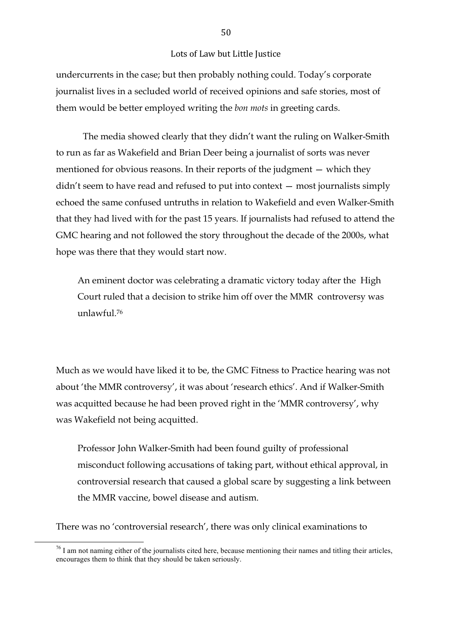undercurrents in the case; but then probably nothing could. Today's corporate journalist lives in a secluded world of received opinions and safe stories, most of them would be better employed writing the *bon mots* in greeting cards.

The media showed clearly that they didn't want the ruling on Walker-Smith to run as far as Wakefield and Brian Deer being a journalist of sorts was never mentioned for obvious reasons. In their reports of the judgment — which they didn't seem to have read and refused to put into context — most journalists simply echoed the same confused untruths in relation to Wakefield and even Walker-Smith that they had lived with for the past 15 years. If journalists had refused to attend the GMC hearing and not followed the story throughout the decade of the 2000s, what hope was there that they would start now.

An eminent doctor was celebrating a dramatic victory today after the High Court ruled that a decision to strike him off over the MMR controversy was unlawful.76

Much as we would have liked it to be, the GMC Fitness to Practice hearing was not about 'the MMR controversy', it was about 'research ethics'. And if Walker-Smith was acquitted because he had been proved right in the 'MMR controversy', why was Wakefield not being acquitted.

Professor John Walker-Smith had been found guilty of professional misconduct following accusations of taking part, without ethical approval, in controversial research that caused a global scare by suggesting a link between the MMR vaccine, bowel disease and autism.

There was no 'controversial research', there was only clinical examinations to

 $16$  I am not naming either of the journalists cited here, because mentioning their names and titling their articles, encourages them to think that they should be taken seriously.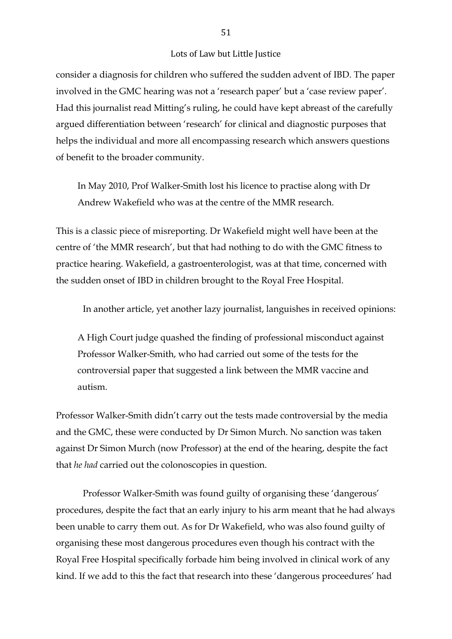consider a diagnosis for children who suffered the sudden advent of IBD. The paper involved in the GMC hearing was not a 'research paper' but a 'case review paper'. Had this journalist read Mitting's ruling, he could have kept abreast of the carefully argued differentiation between 'research' for clinical and diagnostic purposes that helps the individual and more all encompassing research which answers questions of benefit to the broader community.

In May 2010, Prof Walker-Smith lost his licence to practise along with Dr Andrew Wakefield who was at the centre of the MMR research.

This is a classic piece of misreporting. Dr Wakefield might well have been at the centre of 'the MMR research', but that had nothing to do with the GMC fitness to practice hearing. Wakefield, a gastroenterologist, was at that time, concerned with the sudden onset of IBD in children brought to the Royal Free Hospital.

In another article, yet another lazy journalist, languishes in received opinions:

A High Court judge quashed the finding of professional misconduct against Professor Walker-Smith, who had carried out some of the tests for the controversial paper that suggested a link between the MMR vaccine and autism.

Professor Walker-Smith didn't carry out the tests made controversial by the media and the GMC, these were conducted by Dr Simon Murch. No sanction was taken against Dr Simon Murch (now Professor) at the end of the hearing, despite the fact that *he had* carried out the colonoscopies in question.

Professor Walker-Smith was found guilty of organising these 'dangerous' procedures, despite the fact that an early injury to his arm meant that he had always been unable to carry them out. As for Dr Wakefield, who was also found guilty of organising these most dangerous procedures even though his contract with the Royal Free Hospital specifically forbade him being involved in clinical work of any kind. If we add to this the fact that research into these 'dangerous proceedures' had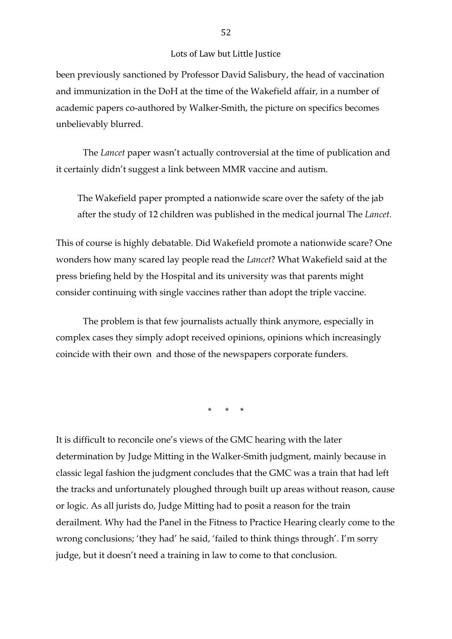been previously sanctioned by Professor David Salisbury, the head of vaccination and immunization in the DoH at the time of the Wakefield affair, in a number of academic papers co-authored by Walker-Smith, the picture on specifics becomes unbelievably blurred.

The *Lancet* paper wasn't actually controversial at the time of publication and it certainly didn't suggest a link between MMR vaccine and autism.

The Wakefield paper prompted a nationwide scare over the safety of the jab after the study of 12 children was published in the medical journal The *Lancet*.

This of course is highly debatable. Did Wakefield promote a nationwide scare? One wonders how many scared lay people read the *Lancet*? What Wakefield said at the press briefing held by the Hospital and its university was that parents might consider continuing with single vaccines rather than adopt the triple vaccine.

The problem is that few journalists actually think anymore, especially in complex cases they simply adopt received opinions, opinions which increasingly coincide with their own and those of the newspapers corporate funders.

\* \* \*

It is difficult to reconcile one's views of the GMC hearing with the later determination by Judge Mitting in the Walker-Smith judgment, mainly because in classic legal fashion the judgment concludes that the GMC was a train that had left the tracks and unfortunately ploughed through built up areas without reason, cause or logic. As all jurists do, Judge Mitting had to posit a reason for the train derailment. Why had the Panel in the Fitness to Practice Hearing clearly come to the wrong conclusions; 'they had' he said, 'failed to think things through'. I'm sorry judge, but it doesn't need a training in law to come to that conclusion.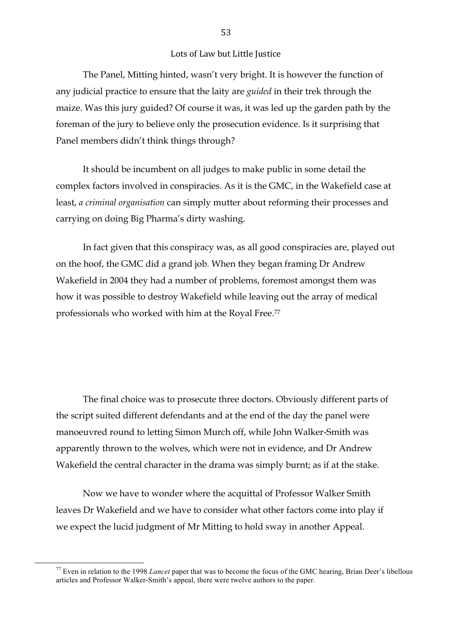The Panel, Mitting hinted, wasn't very bright. It is however the function of any judicial practice to ensure that the laity are *guided* in their trek through the maize. Was this jury guided? Of course it was, it was led up the garden path by the foreman of the jury to believe only the prosecution evidence. Is it surprising that Panel members didn't think things through?

It should be incumbent on all judges to make public in some detail the complex factors involved in conspiracies. As it is the GMC, in the Wakefield case at least, *a criminal organisation* can simply mutter about reforming their processes and carrying on doing Big Pharma's dirty washing.

In fact given that this conspiracy was, as all good conspiracies are, played out on the hoof, the GMC did a grand job. When they began framing Dr Andrew Wakefield in 2004 they had a number of problems, foremost amongst them was how it was possible to destroy Wakefield while leaving out the array of medical professionals who worked with him at the Royal Free.77

The final choice was to prosecute three doctors. Obviously different parts of the script suited different defendants and at the end of the day the panel were manoeuvred round to letting Simon Murch off, while John Walker-Smith was apparently thrown to the wolves, which were not in evidence, and Dr Andrew Wakefield the central character in the drama was simply burnt; as if at the stake.

Now we have to wonder where the acquittal of Professor Walker Smith leaves Dr Wakefield and we have to consider what other factors come into play if we expect the lucid judgment of Mr Mitting to hold sway in another Appeal.

 $17$  Even in relation to the 1998 *Lancet* paper that was to become the focus of the GMC hearing, Brian Deer's libellous articles and Professor Walker-Smith's appeal, there were twelve authors to the paper.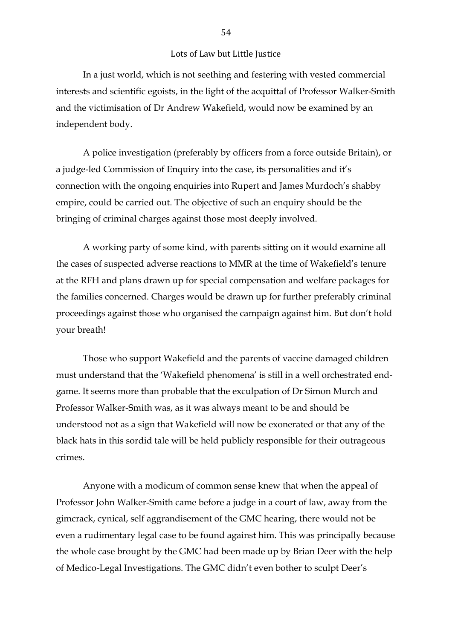In a just world, which is not seething and festering with vested commercial interests and scientific egoists, in the light of the acquittal of Professor Walker-Smith and the victimisation of Dr Andrew Wakefield, would now be examined by an independent body.

A police investigation (preferably by officers from a force outside Britain), or a judge-led Commission of Enquiry into the case, its personalities and it's connection with the ongoing enquiries into Rupert and James Murdoch's shabby empire, could be carried out. The objective of such an enquiry should be the bringing of criminal charges against those most deeply involved.

A working party of some kind, with parents sitting on it would examine all the cases of suspected adverse reactions to MMR at the time of Wakefield's tenure at the RFH and plans drawn up for special compensation and welfare packages for the families concerned. Charges would be drawn up for further preferably criminal proceedings against those who organised the campaign against him. But don't hold your breath!

Those who support Wakefield and the parents of vaccine damaged children must understand that the 'Wakefield phenomena' is still in a well orchestrated endgame. It seems more than probable that the exculpation of Dr Simon Murch and Professor Walker-Smith was, as it was always meant to be and should be understood not as a sign that Wakefield will now be exonerated or that any of the black hats in this sordid tale will be held publicly responsible for their outrageous crimes.

Anyone with a modicum of common sense knew that when the appeal of Professor John Walker-Smith came before a judge in a court of law, away from the gimcrack, cynical, self aggrandisement of the GMC hearing, there would not be even a rudimentary legal case to be found against him. This was principally because the whole case brought by the GMC had been made up by Brian Deer with the help of Medico-Legal Investigations. The GMC didn't even bother to sculpt Deer's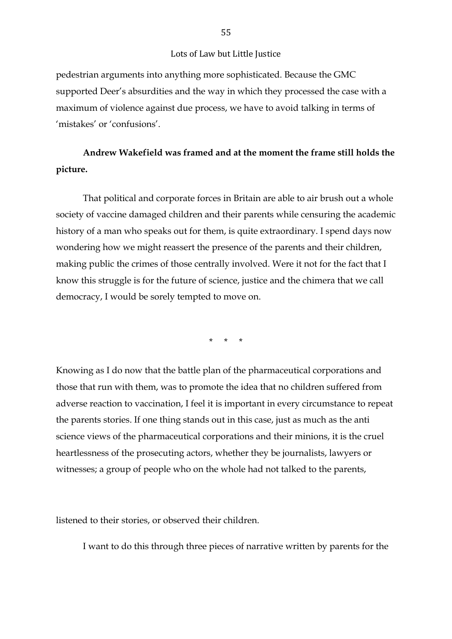pedestrian arguments into anything more sophisticated. Because the GMC supported Deer's absurdities and the way in which they processed the case with a maximum of violence against due process, we have to avoid talking in terms of 'mistakes' or 'confusions'.

## **Andrew Wakefield was framed and at the moment the frame still holds the picture.**

That political and corporate forces in Britain are able to air brush out a whole society of vaccine damaged children and their parents while censuring the academic history of a man who speaks out for them, is quite extraordinary. I spend days now wondering how we might reassert the presence of the parents and their children, making public the crimes of those centrally involved. Were it not for the fact that I know this struggle is for the future of science, justice and the chimera that we call democracy, I would be sorely tempted to move on.

\* \* \*

Knowing as I do now that the battle plan of the pharmaceutical corporations and those that run with them, was to promote the idea that no children suffered from adverse reaction to vaccination, I feel it is important in every circumstance to repeat the parents stories. If one thing stands out in this case, just as much as the anti science views of the pharmaceutical corporations and their minions, it is the cruel heartlessness of the prosecuting actors, whether they be journalists, lawyers or witnesses; a group of people who on the whole had not talked to the parents,

listened to their stories, or observed their children.

I want to do this through three pieces of narrative written by parents for the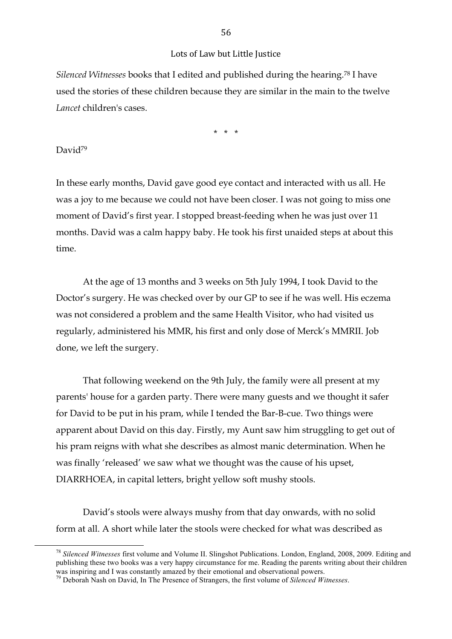*Silenced Witnesses* books that I edited and published during the hearing.78 I have used the stories of these children because they are similar in the main to the twelve *Lancet* children's cases.

\* \* \*

#### David<sup>79</sup>

In these early months, David gave good eye contact and interacted with us all. He was a joy to me because we could not have been closer. I was not going to miss one moment of David's first year. I stopped breast-feeding when he was just over 11 months. David was a calm happy baby. He took his first unaided steps at about this time.

At the age of 13 months and 3 weeks on 5th July 1994, I took David to the Doctor's surgery. He was checked over by our GP to see if he was well. His eczema was not considered a problem and the same Health Visitor, who had visited us regularly, administered his MMR, his first and only dose of Merck's MMRII. Job done, we left the surgery.

That following weekend on the 9th July, the family were all present at my parents' house for a garden party. There were many guests and we thought it safer for David to be put in his pram, while I tended the Bar-B-cue. Two things were apparent about David on this day. Firstly, my Aunt saw him struggling to get out of his pram reigns with what she describes as almost manic determination. When he was finally 'released' we saw what we thought was the cause of his upset, DIARRHOEA, in capital letters, bright yellow soft mushy stools.

David's stools were always mushy from that day onwards, with no solid form at all. A short while later the stools were checked for what was described as

<sup>&</sup>lt;sup>78</sup> Silenced Witnesses first volume and Volume II. Slingshot Publications. London, England, 2008, 2009. Editing and publishing these two books was a very happy circumstance for me. Reading the parents writing about their children was inspiring and I was constantly amazed by their emotional and observational powers.

<sup>79</sup> Deborah Nash on David, In The Presence of Strangers, the first volume of *Silenced Witnesses*.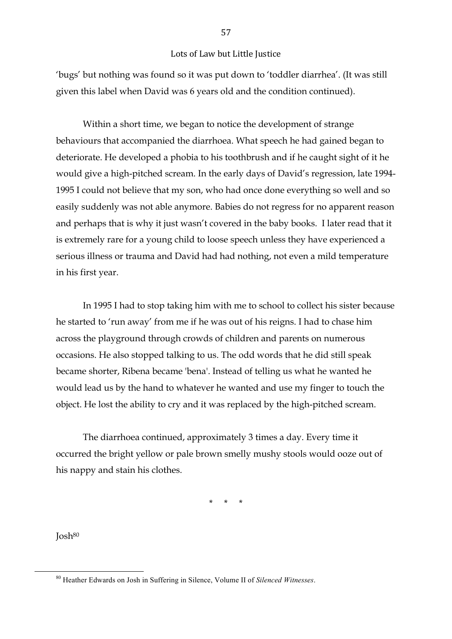'bugs' but nothing was found so it was put down to 'toddler diarrhea'. (It was still given this label when David was 6 years old and the condition continued).

Within a short time, we began to notice the development of strange behaviours that accompanied the diarrhoea. What speech he had gained began to deteriorate. He developed a phobia to his toothbrush and if he caught sight of it he would give a high-pitched scream. In the early days of David's regression, late 1994- 1995 I could not believe that my son, who had once done everything so well and so easily suddenly was not able anymore. Babies do not regress for no apparent reason and perhaps that is why it just wasn't covered in the baby books. I later read that it is extremely rare for a young child to loose speech unless they have experienced a serious illness or trauma and David had had nothing, not even a mild temperature in his first year.

In 1995 I had to stop taking him with me to school to collect his sister because he started to 'run away' from me if he was out of his reigns. I had to chase him across the playground through crowds of children and parents on numerous occasions. He also stopped talking to us. The odd words that he did still speak became shorter, Ribena became 'bena'. Instead of telling us what he wanted he would lead us by the hand to whatever he wanted and use my finger to touch the object. He lost the ability to cry and it was replaced by the high-pitched scream.

The diarrhoea continued, approximately 3 times a day. Every time it occurred the bright yellow or pale brown smelly mushy stools would ooze out of his nappy and stain his clothes.

\* \* \*

Josh80

<sup>&</sup>lt;sup>80</sup> Heather Edwards on Josh in Suffering in Silence, Volume II of *Silenced Witnesses*.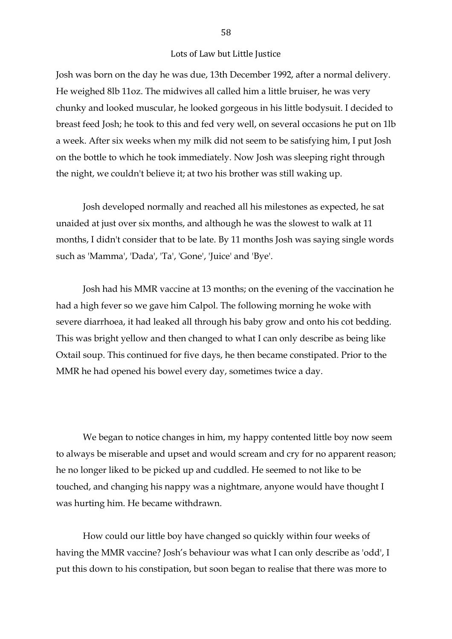Josh was born on the day he was due, 13th December 1992, after a normal delivery. He weighed 8lb 11oz. The midwives all called him a little bruiser, he was very chunky and looked muscular, he looked gorgeous in his little bodysuit. I decided to breast feed Josh; he took to this and fed very well, on several occasions he put on 1lb a week. After six weeks when my milk did not seem to be satisfying him, I put Josh on the bottle to which he took immediately. Now Josh was sleeping right through the night, we couldn't believe it; at two his brother was still waking up.

Josh developed normally and reached all his milestones as expected, he sat unaided at just over six months, and although he was the slowest to walk at 11 months, I didn't consider that to be late. By 11 months Josh was saying single words such as 'Mamma', 'Dada', 'Ta', 'Gone', 'Juice' and 'Bye'.

Josh had his MMR vaccine at 13 months; on the evening of the vaccination he had a high fever so we gave him Calpol. The following morning he woke with severe diarrhoea, it had leaked all through his baby grow and onto his cot bedding. This was bright yellow and then changed to what I can only describe as being like Oxtail soup. This continued for five days, he then became constipated. Prior to the MMR he had opened his bowel every day, sometimes twice a day.

We began to notice changes in him, my happy contented little boy now seem to always be miserable and upset and would scream and cry for no apparent reason; he no longer liked to be picked up and cuddled. He seemed to not like to be touched, and changing his nappy was a nightmare, anyone would have thought I was hurting him. He became withdrawn.

How could our little boy have changed so quickly within four weeks of having the MMR vaccine? Josh's behaviour was what I can only describe as 'odd', I put this down to his constipation, but soon began to realise that there was more to

58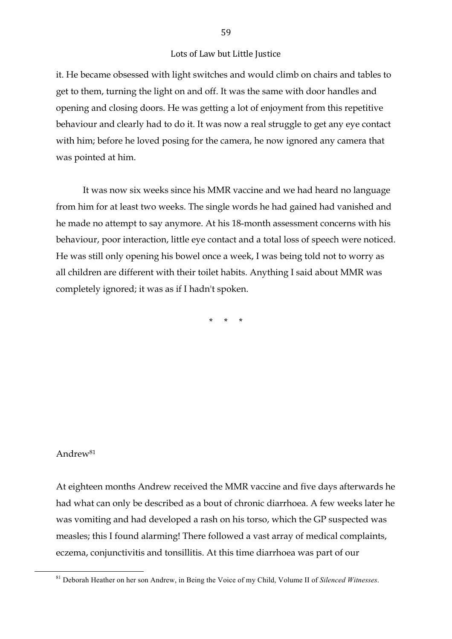it. He became obsessed with light switches and would climb on chairs and tables to get to them, turning the light on and off. It was the same with door handles and opening and closing doors. He was getting a lot of enjoyment from this repetitive behaviour and clearly had to do it. It was now a real struggle to get any eye contact with him; before he loved posing for the camera, he now ignored any camera that was pointed at him.

It was now six weeks since his MMR vaccine and we had heard no language from him for at least two weeks. The single words he had gained had vanished and he made no attempt to say anymore. At his 18-month assessment concerns with his behaviour, poor interaction, little eye contact and a total loss of speech were noticed. He was still only opening his bowel once a week, I was being told not to worry as all children are different with their toilet habits. Anything I said about MMR was completely ignored; it was as if I hadn't spoken.

\* \* \*

## Andrew81

At eighteen months Andrew received the MMR vaccine and five days afterwards he had what can only be described as a bout of chronic diarrhoea. A few weeks later he was vomiting and had developed a rash on his torso, which the GP suspected was measles; this I found alarming! There followed a vast array of medical complaints, eczema, conjunctivitis and tonsillitis. At this time diarrhoea was part of our

<sup>&</sup>lt;sup>81</sup> Deborah Heather on her son Andrew, in Being the Voice of my Child, Volume II of *Silenced Witnesses*.